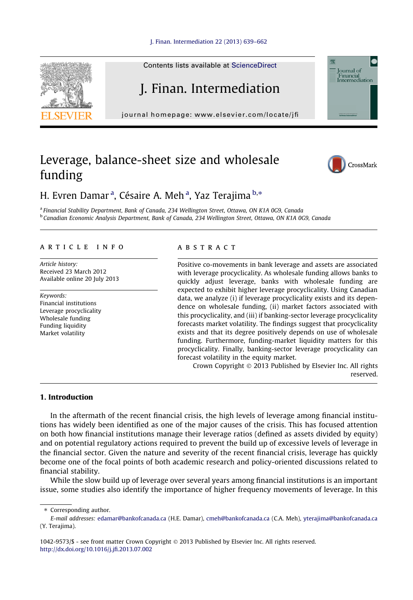



Contents lists available at [ScienceDirect](http://www.sciencedirect.com/science/journal/10429573)

# J. Finan. Intermediation

journal homepage: [www.elsevier.com/locate/jfi](http://www.elsevier.com/locate/jfi)

# Leverage, balance-sheet size and wholesale funding



Journal of Financial<br>Intermediation

®

## H. Evren Damar <sup>a</sup>, Césaire A. Meh <sup>a</sup>, Yaz Terajima <sup>b,</sup>\*

<sup>a</sup> Financial Stability Department, Bank of Canada, 234 Wellington Street, Ottawa, ON K1A 0G9, Canada <sup>b</sup> Canadian Economic Analysis Department, Bank of Canada, 234 Wellington Street, Ottawa, ON K1A 0G9, Canada

## article info

Article history: Received 23 March 2012 Available online 20 July 2013

Keywords: Financial institutions Leverage procyclicality Wholesale funding Funding liquidity Market volatility

## **ABSTRACT**

Positive co-movements in bank leverage and assets are associated with leverage procyclicality. As wholesale funding allows banks to quickly adjust leverage, banks with wholesale funding are expected to exhibit higher leverage procyclicality. Using Canadian data, we analyze (i) if leverage procyclicality exists and its dependence on wholesale funding, (ii) market factors associated with this procyclicality, and (iii) if banking-sector leverage procyclicality forecasts market volatility. The findings suggest that procyclicality exists and that its degree positively depends on use of wholesale funding. Furthermore, funding-market liquidity matters for this procyclicality. Finally, banking-sector leverage procyclicality can forecast volatility in the equity market.

Crown Copyright © 2013 Published by Elsevier Inc. All rights reserved.

## 1. Introduction

In the aftermath of the recent financial crisis, the high levels of leverage among financial institutions has widely been identified as one of the major causes of the crisis. This has focused attention on both how financial institutions manage their leverage ratios (defined as assets divided by equity) and on potential regulatory actions required to prevent the build up of excessive levels of leverage in the financial sector. Given the nature and severity of the recent financial crisis, leverage has quickly become one of the focal points of both academic research and policy-oriented discussions related to financial stability.

While the slow build up of leverage over several years among financial institutions is an important issue, some studies also identify the importance of higher frequency movements of leverage. In this

<sup>⇑</sup> Corresponding author.

E-mail addresses: [edamar@bankofcanada.ca](mailto:edamar@bankofcanada.ca) (H.E. Damar), [cmeh@bankofcanada.ca](mailto:cmeh@bankofcanada.ca) (C.A. Meh), [yterajima@bankofcanada.ca](mailto:yterajima@bankofcanada.ca) (Y. Terajima).

<sup>1042-9573/\$ -</sup> see front matter Crown Copyright © 2013 Published by Elsevier Inc. All rights reserved. <http://dx.doi.org/10.1016/j.jfi.2013.07.002>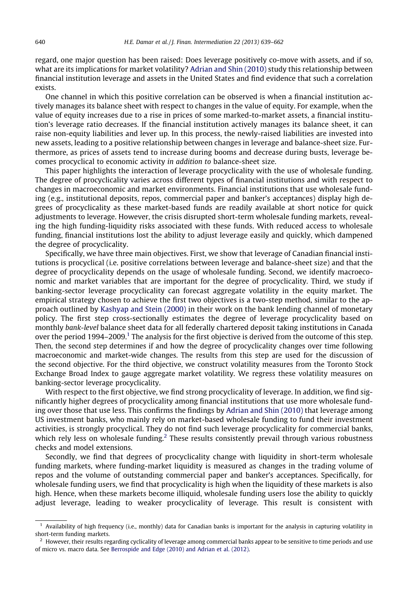regard, one major question has been raised: Does leverage positively co-move with assets, and if so, what are its implications for market volatility? [Adrian and Shin \(2010\)](#page-23-0) study this relationship between financial institution leverage and assets in the United States and find evidence that such a correlation exists.

One channel in which this positive correlation can be observed is when a financial institution actively manages its balance sheet with respect to changes in the value of equity. For example, when the value of equity increases due to a rise in prices of some marked-to-market assets, a financial institution's leverage ratio decreases. If the financial institution actively manages its balance sheet, it can raise non-equity liabilities and lever up. In this process, the newly-raised liabilities are invested into new assets, leading to a positive relationship between changes in leverage and balance-sheet size. Furthermore, as prices of assets tend to increase during booms and decrease during busts, leverage becomes procyclical to economic activity in addition to balance-sheet size.

This paper highlights the interaction of leverage procyclicality with the use of wholesale funding. The degree of procyclicality varies across different types of financial institutions and with respect to changes in macroeconomic and market environments. Financial institutions that use wholesale funding (e.g., institutional deposits, repos, commercial paper and banker's acceptances) display high degrees of procyclicality as these market-based funds are readily available at short notice for quick adjustments to leverage. However, the crisis disrupted short-term wholesale funding markets, revealing the high funding-liquidity risks associated with these funds. With reduced access to wholesale funding, financial institutions lost the ability to adjust leverage easily and quickly, which dampened the degree of procyclicality.

Specifically, we have three main objectives. First, we show that leverage of Canadian financial institutions is procyclical (i.e. positive correlations between leverage and balance-sheet size) and that the degree of procyclicality depends on the usage of wholesale funding. Second, we identify macroeconomic and market variables that are important for the degree of procyclicality. Third, we study if banking-sector leverage procyclicality can forecast aggregate volatility in the equity market. The empirical strategy chosen to achieve the first two objectives is a two-step method, similar to the approach outlined by [Kashyap and Stein \(2000\)](#page-23-0) in their work on the bank lending channel of monetary policy. The first step cross-sectionally estimates the degree of leverage procyclicality based on monthly bank-level balance sheet data for all federally chartered deposit taking institutions in Canada over the period  $1994-2009$ .<sup>1</sup> The analysis for the first objective is derived from the outcome of this step. Then, the second step determines if and how the degree of procyclicality changes over time following macroeconomic and market-wide changes. The results from this step are used for the discussion of the second objective. For the third objective, we construct volatility measures from the Toronto Stock Exchange Broad Index to gauge aggregate market volatility. We regress these volatility measures on banking-sector leverage procyclicality.

With respect to the first objective, we find strong procyclicality of leverage. In addition, we find significantly higher degrees of procyclicality among financial institutions that use more wholesale funding over those that use less. This confirms the findings by [Adrian and Shin \(2010\)](#page-23-0) that leverage among US investment banks, who mainly rely on market-based wholesale funding to fund their investment activities, is strongly procyclical. They do not find such leverage procyclicality for commercial banks, which rely less on wholesale funding.<sup>2</sup> These results consistently prevail through various robustness checks and model extensions.

Secondly, we find that degrees of procyclicality change with liquidity in short-term wholesale funding markets, where funding-market liquidity is measured as changes in the trading volume of repos and the volume of outstanding commercial paper and banker's acceptances. Specifically, for wholesale funding users, we find that procyclicality is high when the liquidity of these markets is also high. Hence, when these markets become illiquid, wholesale funding users lose the ability to quickly adjust leverage, leading to weaker procyclicality of leverage. This result is consistent with

 $<sup>1</sup>$  Availability of high frequency (i.e., monthly) data for Canadian banks is important for the analysis in capturing volatility in</sup> short-term funding markets.

 $<sup>2</sup>$  However, their results regarding cyclicality of leverage among commercial banks appear to be sensitive to time periods and use</sup> of micro vs. macro data. See [Berrospide and Edge \(2010\) and Adrian et al. \(2012\).](#page-23-0)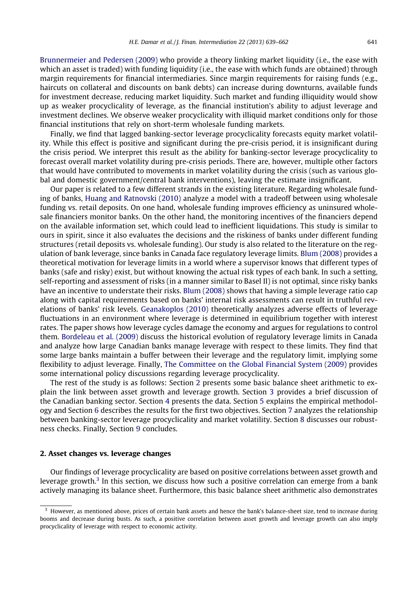<span id="page-2-0"></span>[Brunnermeier and Pedersen \(2009\)](#page-23-0) who provide a theory linking market liquidity (i.e., the ease with which an asset is traded) with funding liquidity (i.e., the ease with which funds are obtained) through margin requirements for financial intermediaries. Since margin requirements for raising funds (e.g., haircuts on collateral and discounts on bank debts) can increase during downturns, available funds for investment decrease, reducing market liquidity. Such market and funding illiquidity would show up as weaker procyclicality of leverage, as the financial institution's ability to adjust leverage and investment declines. We observe weaker procyclicality with illiquid market conditions only for those financial institutions that rely on short-term wholesale funding markets.

Finally, we find that lagged banking-sector leverage procyclicality forecasts equity market volatility. While this effect is positive and significant during the pre-crisis period, it is insignificant during the crisis period. We interpret this result as the ability for banking-sector leverage procyclicality to forecast overall market volatility during pre-crisis periods. There are, however, multiple other factors that would have contributed to movements in market volatility during the crisis (such as various global and domestic government/central bank interventions), leaving the estimate insignificant.

Our paper is related to a few different strands in the existing literature. Regarding wholesale funding of banks, [Huang and Ratnovski \(2010\)](#page-23-0) analyze a model with a tradeoff between using wholesale funding vs. retail deposits. On one hand, wholesale funding improves efficiency as uninsured wholesale financiers monitor banks. On the other hand, the monitoring incentives of the financiers depend on the available information set, which could lead to inefficient liquidations. This study is similar to ours in spirit, since it also evaluates the decisions and the riskiness of banks under different funding structures (retail deposits vs. wholesale funding). Our study is also related to the literature on the regulation of bank leverage, since banks in Canada face regulatory leverage limits. [Blum \(2008\)](#page-23-0) provides a theoretical motivation for leverage limits in a world where a supervisor knows that different types of banks (safe and risky) exist, but without knowing the actual risk types of each bank. In such a setting, self-reporting and assessment of risks (in a manner similar to Basel II) is not optimal, since risky banks have an incentive to understate their risks. [Blum \(2008\)](#page-23-0) shows that having a simple leverage ratio cap along with capital requirements based on banks' internal risk assessments can result in truthful revelations of banks' risk levels. [Geanakoplos \(2010\)](#page-23-0) theoretically analyzes adverse effects of leverage fluctuations in an environment where leverage is determined in equilibrium together with interest rates. The paper shows how leverage cycles damage the economy and argues for regulations to control them. [Bordeleau et al. \(2009\)](#page-23-0) discuss the historical evolution of regulatory leverage limits in Canada and analyze how large Canadian banks manage leverage with respect to these limits. They find that some large banks maintain a buffer between their leverage and the regulatory limit, implying some flexibility to adjust leverage. Finally, [The Committee on the Global Financial System \(2009\)](#page-23-0) provides some international policy discussions regarding leverage procyclicality.

The rest of the study is as follows: Section 2 presents some basic balance sheet arithmetic to explain the link between asset growth and leverage growth. Section [3](#page-5-0) provides a brief discussion of the Canadian banking sector. Section [4](#page-7-0) presents the data. Section [5](#page-7-0) explains the empirical methodology and Section [6](#page-12-0) describes the results for the first two objectives. Section [7](#page-18-0) analyzes the relationship between banking-sector leverage procyclicality and market volatility. Section [8](#page-20-0) discusses our robustness checks. Finally, Section [9](#page-22-0) concludes.

## 2. Asset changes vs. leverage changes

Our findings of leverage procyclicality are based on positive correlations between asset growth and leverage growth.<sup>3</sup> In this section, we discuss how such a positive correlation can emerge from a bank actively managing its balance sheet. Furthermore, this basic balance sheet arithmetic also demonstrates

<sup>&</sup>lt;sup>3</sup> However, as mentioned above, prices of certain bank assets and hence the bank's balance-sheet size, tend to increase during booms and decrease during busts. As such, a positive correlation between asset growth and leverage growth can also imply procyclicality of leverage with respect to economic activity.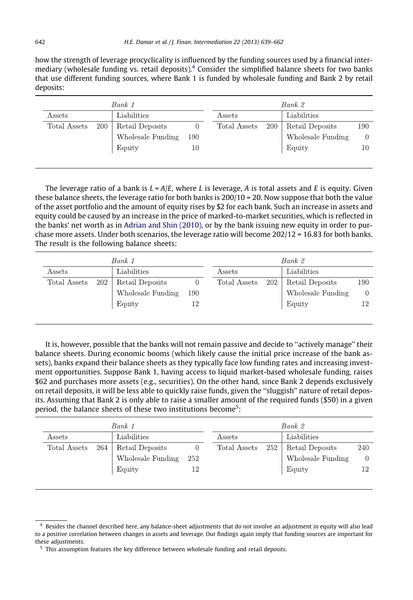how the strength of leverage procyclicality is influenced by the funding sources used by a financial intermediary (wholesale funding vs. retail deposits).<sup>4</sup> Consider the simplified balance sheets for two banks that use different funding sources, where Bank 1 is funded by wholesale funding and Bank 2 by retail deposits:

|                            | Bank 1            | Bank 2   |              |            |                   |     |
|----------------------------|-------------------|----------|--------------|------------|-------------------|-----|
| Assets                     | Liabilities       |          | Assets       |            | Liabilities       |     |
| Total Assets<br><b>200</b> | Retail Deposits   | $\theta$ | Total Assets | <b>200</b> | Retail Deposits   | 190 |
|                            | Wholesale Funding | 190      |              |            | Wholesale Funding |     |
|                            | Equity            | 10       |              |            | Equity            |     |
|                            |                   |          |              |            |                   |     |

The leverage ratio of a bank is  $L = A/E$ , where L is leverage, A is total assets and E is equity. Given these balance sheets, the leverage ratio for both banks is  $200/10 = 20$ . Now suppose that both the value of the asset portfolio and the amount of equity rises by \$2 for each bank. Such an increase in assets and equity could be caused by an increase in the price of marked-to-market securities, which is reflected in the banks' net worth as in [Adrian and Shin \(2010\)](#page-23-0), or by the bank issuing new equity in order to purchase more assets. Under both scenarios, the leverage ratio will become 202/12 = 16.83 for both banks. The result is the following balance sheets:

|              | Bank 1 |                   |     |              | Bank 2 |                   |     |  |
|--------------|--------|-------------------|-----|--------------|--------|-------------------|-----|--|
| Assets       |        | Liabilities       |     | Assets       |        | Liabilities       |     |  |
| Total Assets | 202    | Retail Deposits   | O   | Total Assets | 202    | Retail Deposits   | 190 |  |
|              |        | Wholesale Funding | 190 |              |        | Wholesale Funding |     |  |
|              |        | Equity            |     |              |        | Equity            | 19  |  |
|              |        |                   |     |              |        |                   |     |  |

It is, however, possible that the banks will not remain passive and decide to ''actively manage'' their balance sheets. During economic booms (which likely cause the initial price increase of the bank assets), banks expand their balance sheets as they typically face low funding rates and increasing investment opportunities. Suppose Bank 1, having access to liquid market-based wholesale funding, raises \$62 and purchases more assets (e.g., securities). On the other hand, since Bank 2 depends exclusively on retail deposits, it will be less able to quickly raise funds, given the ''sluggish'' nature of retail deposits. Assuming that Bank 2 is only able to raise a smaller amount of the required funds (\$50) in a given period, the balance sheets of these two institutions become<sup>5</sup>:

|              | Bank 1 |                   |     |              | Bank 2 |                   |                |  |
|--------------|--------|-------------------|-----|--------------|--------|-------------------|----------------|--|
| Assets       |        | Liabilities       |     | Assets       |        | Liabilities       |                |  |
| Total Assets | -264   | Retail Deposits   |     | Total Assets | - 252  | Retail Deposits   | 240            |  |
|              |        | Wholesale Funding | 252 |              |        | Wholesale Funding | $\overline{0}$ |  |
|              |        | Equity            | 12  |              |        | Equity            | 12             |  |
|              |        |                   |     |              |        |                   |                |  |

<sup>4</sup> Besides the channel described here, any balance-sheet adjustments that do not involve an adjustment in equity will also lead to a positive correlation between changes in assets and leverage. Our findings again imply that funding sources are important for these adjustments.

<sup>5</sup> This assumption features the key difference between wholesale funding and retail deposits.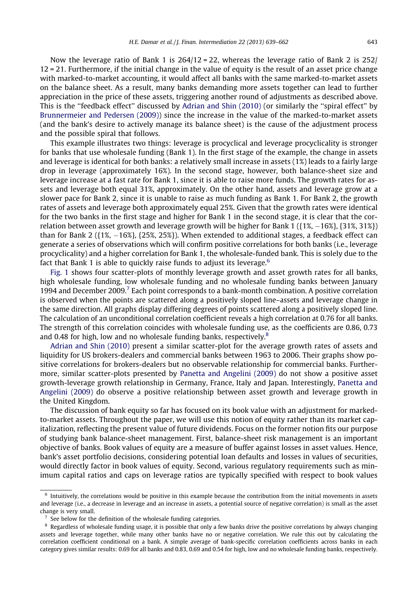Now the leverage ratio of Bank 1 is 264/12 = 22, whereas the leverage ratio of Bank 2 is 252/ 12 = 21. Furthermore, if the initial change in the value of equity is the result of an asset price change with marked-to-market accounting, it would affect all banks with the same marked-to-market assets on the balance sheet. As a result, many banks demanding more assets together can lead to further appreciation in the price of these assets, triggering another round of adjustments as described above. This is the ''feedback effect'' discussed by [Adrian and Shin \(2010\)](#page-23-0) (or similarly the ''spiral effect'' by [Brunnermeier and Pedersen \(2009\)\)](#page-23-0) since the increase in the value of the marked-to-market assets (and the bank's desire to actively manage its balance sheet) is the cause of the adjustment process and the possible spiral that follows.

This example illustrates two things: leverage is procyclical and leverage procyclicality is stronger for banks that use wholesale funding (Bank 1). In the first stage of the example, the change in assets and leverage is identical for both banks: a relatively small increase in assets (1%) leads to a fairly large drop in leverage (approximately 16%). In the second stage, however, both balance-sheet size and leverage increase at a fast rate for Bank 1, since it is able to raise more funds. The growth rates for assets and leverage both equal 31%, approximately. On the other hand, assets and leverage grow at a slower pace for Bank 2, since it is unable to raise as much funding as Bank 1. For Bank 2, the growth rates of assets and leverage both approximately equal 25%. Given that the growth rates were identical for the two banks in the first stage and higher for Bank 1 in the second stage, it is clear that the correlation between asset growth and leverage growth will be higher for Bank 1 ({1%, -16%}, {31%, 31%}) than for Bank 2 ({1%, -16%}, {25%, 25%}). When extended to additional stages, a feedback effect can generate a series of observations which will confirm positive correlations for both banks (i.e., leverage procyclicality) and a higher correlation for Bank 1, the wholesale-funded bank. This is solely due to the fact that Bank 1 is able to quickly raise funds to adjust its leverage.<sup>6</sup>

[Fig. 1](#page-5-0) shows four scatter-plots of monthly leverage growth and asset growth rates for all banks, high wholesale funding, low wholesale funding and no wholesale funding banks between January 1994 and December 2009.<sup>7</sup> Each point corresponds to a bank-month combination. A positive correlation is observed when the points are scattered along a positively sloped line–assets and leverage change in the same direction. All graphs display differing degrees of points scattered along a positively sloped line. The calculation of an unconditional correlation coefficient reveals a high correlation at 0.76 for all banks. The strength of this correlation coincides with wholesale funding use, as the coefficients are 0.86, 0.73 and 0.48 for high, low and no wholesale funding banks, respectively.<sup>8</sup>

[Adrian and Shin \(2010\)](#page-23-0) present a similar scatter-plot for the average growth rates of assets and liquidity for US brokers-dealers and commercial banks between 1963 to 2006. Their graphs show positive correlations for brokers-dealers but no observable relationship for commercial banks. Furthermore, similar scatter-plots presented by [Panetta and Angelini \(2009\)](#page-23-0) do not show a positive asset growth-leverage growth relationship in Germany, France, Italy and Japan. Interestingly, [Panetta and](#page-23-0) [Angelini \(2009\)](#page-23-0) do observe a positive relationship between asset growth and leverage growth in the United Kingdom.

The discussion of bank equity so far has focused on its book value with an adjustment for markedto-market assets. Throughout the paper, we will use this notion of equity rather than its market capitalization, reflecting the present value of future dividends. Focus on the former notion fits our purpose of studying bank balance-sheet management. First, balance-sheet risk management is an important objective of banks. Book values of equity are a measure of buffer against losses in asset values. Hence, bank's asset portfolio decisions, considering potential loan defaults and losses in values of securities, would directly factor in book values of equity. Second, various regulatory requirements such as minimum capital ratios and caps on leverage ratios are typically specified with respect to book values

 $6$  Intuitively, the correlations would be positive in this example because the contribution from the initial movements in assets and leverage (i.e., a decrease in leverage and an increase in assets, a potential source of negative correlation) is small as the asset change is very small.

 $7$  See below for the definition of the wholesale funding categories.

<sup>&</sup>lt;sup>8</sup> Regardless of wholesale funding usage, it is possible that only a few banks drive the positive correlations by always changing assets and leverage together, while many other banks have no or negative correlation. We rule this out by calculating the correlation coefficient conditional on a bank. A simple average of bank-specific correlation coefficients across banks in each category gives similar results: 0.69 for all banks and 0.83, 0.69 and 0.54 for high, low and no wholesale funding banks, respectively.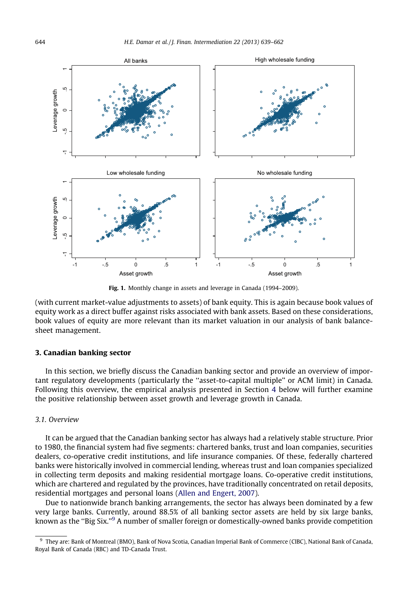<span id="page-5-0"></span>

Fig. 1. Monthly change in assets and leverage in Canada (1994–2009).

(with current market-value adjustments to assets) of bank equity. This is again because book values of equity work as a direct buffer against risks associated with bank assets. Based on these considerations, book values of equity are more relevant than its market valuation in our analysis of bank balancesheet management.

## 3. Canadian banking sector

In this section, we briefly discuss the Canadian banking sector and provide an overview of important regulatory developments (particularly the ''asset-to-capital multiple'' or ACM limit) in Canada. Following this overview, the empirical analysis presented in Section [4](#page-7-0) below will further examine the positive relationship between asset growth and leverage growth in Canada.

#### 3.1. Overview

It can be argued that the Canadian banking sector has always had a relatively stable structure. Prior to 1980, the financial system had five segments: chartered banks, trust and loan companies, securities dealers, co-operative credit institutions, and life insurance companies. Of these, federally chartered banks were historically involved in commercial lending, whereas trust and loan companies specialized in collecting term deposits and making residential mortgage loans. Co-operative credit institutions, which are chartered and regulated by the provinces, have traditionally concentrated on retail deposits, residential mortgages and personal loans ([Allen and Engert, 2007\)](#page-23-0).

Due to nationwide branch banking arrangements, the sector has always been dominated by a few very large banks. Currently, around 88.5% of all banking sector assets are held by six large banks,

<sup>9</sup> They are: Bank of Montreal (BMO), Bank of Nova Scotia, Canadian Imperial Bank of Commerce (CIBC), National Bank of Canada, Royal Bank of Canada (RBC) and TD-Canada Trust.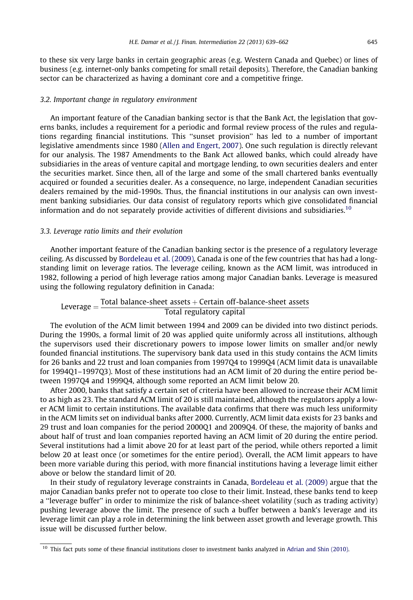to these six very large banks in certain geographic areas (e.g. Western Canada and Quebec) or lines of business (e.g. internet-only banks competing for small retail deposits). Therefore, the Canadian banking sector can be characterized as having a dominant core and a competitive fringe.

## 3.2. Important change in regulatory environment

An important feature of the Canadian banking sector is that the Bank Act, the legislation that governs banks, includes a requirement for a periodic and formal review process of the rules and regulations regarding financial institutions. This ''sunset provision'' has led to a number of important legislative amendments since 1980 [\(Allen and Engert, 2007\)](#page-23-0). One such regulation is directly relevant for our analysis. The 1987 Amendments to the Bank Act allowed banks, which could already have subsidiaries in the areas of venture capital and mortgage lending, to own securities dealers and enter the securities market. Since then, all of the large and some of the small chartered banks eventually acquired or founded a securities dealer. As a consequence, no large, independent Canadian securities dealers remained by the mid-1990s. Thus, the financial institutions in our analysis can own investment banking subsidiaries. Our data consist of regulatory reports which give consolidated financial information and do not separately provide activities of different divisions and subsidiaries.<sup>10</sup>

### 3.3. Leverage ratio limits and their evolution

Another important feature of the Canadian banking sector is the presence of a regulatory leverage ceiling. As discussed by [Bordeleau et al. \(2009\),](#page-23-0) Canada is one of the few countries that has had a longstanding limit on leverage ratios. The leverage ceiling, known as the ACM limit, was introduced in 1982, following a period of high leverage ratios among major Canadian banks. Leverage is measured using the following regulatory definition in Canada:

## Leverage  $=$  Total balance-sheet assets  $+$  Certain off-balance-sheet assets Total regulatory capital

The evolution of the ACM limit between 1994 and 2009 can be divided into two distinct periods. During the 1990s, a formal limit of 20 was applied quite uniformly across all institutions, although the supervisors used their discretionary powers to impose lower limits on smaller and/or newly founded financial institutions. The supervisory bank data used in this study contains the ACM limits for 26 banks and 22 trust and loan companies from 1997Q4 to 1999Q4 (ACM limit data is unavailable for 1994Q1–1997Q3). Most of these institutions had an ACM limit of 20 during the entire period between 1997Q4 and 1999Q4, although some reported an ACM limit below 20.

After 2000, banks that satisfy a certain set of criteria have been allowed to increase their ACM limit to as high as 23. The standard ACM limit of 20 is still maintained, although the regulators apply a lower ACM limit to certain institutions. The available data confirms that there was much less uniformity in the ACM limits set on individual banks after 2000. Currently, ACM limit data exists for 23 banks and 29 trust and loan companies for the period 2000Q1 and 2009Q4. Of these, the majority of banks and about half of trust and loan companies reported having an ACM limit of 20 during the entire period. Several institutions had a limit above 20 for at least part of the period, while others reported a limit below 20 at least once (or sometimes for the entire period). Overall, the ACM limit appears to have been more variable during this period, with more financial institutions having a leverage limit either above or below the standard limit of 20.

In their study of regulatory leverage constraints in Canada, [Bordeleau et al. \(2009\)](#page-23-0) argue that the major Canadian banks prefer not to operate too close to their limit. Instead, these banks tend to keep a ''leverage buffer'' in order to minimize the risk of balance-sheet volatility (such as trading activity) pushing leverage above the limit. The presence of such a buffer between a bank's leverage and its leverage limit can play a role in determining the link between asset growth and leverage growth. This issue will be discussed further below.

 $10$  This fact puts some of these financial institutions closer to investment banks analyzed in [Adrian and Shin \(2010\).](#page-23-0)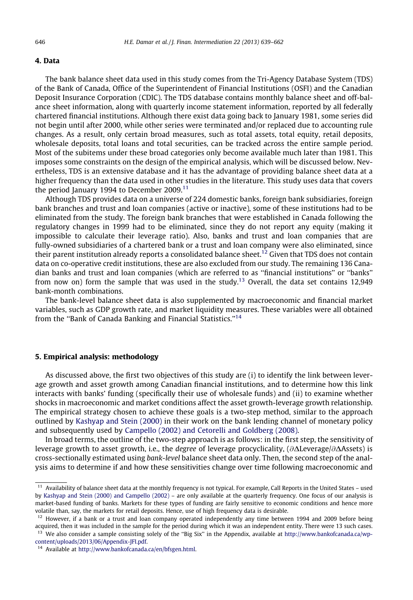## <span id="page-7-0"></span>4. Data

The bank balance sheet data used in this study comes from the Tri-Agency Database System (TDS) of the Bank of Canada, Office of the Superintendent of Financial Institutions (OSFI) and the Canadian Deposit Insurance Corporation (CDIC). The TDS database contains monthly balance sheet and off-balance sheet information, along with quarterly income statement information, reported by all federally chartered financial institutions. Although there exist data going back to January 1981, some series did not begin until after 2000, while other series were terminated and/or replaced due to accounting rule changes. As a result, only certain broad measures, such as total assets, total equity, retail deposits, wholesale deposits, total loans and total securities, can be tracked across the entire sample period. Most of the subitems under these broad categories only become available much later than 1981. This imposes some constraints on the design of the empirical analysis, which will be discussed below. Nevertheless, TDS is an extensive database and it has the advantage of providing balance sheet data at a higher frequency than the data used in other studies in the literature. This study uses data that covers the period January 1994 to December  $2009$ <sup>11</sup>

Although TDS provides data on a universe of 224 domestic banks, foreign bank subsidiaries, foreign bank branches and trust and loan companies (active or inactive), some of these institutions had to be eliminated from the study. The foreign bank branches that were established in Canada following the regulatory changes in 1999 had to be eliminated, since they do not report any equity (making it impossible to calculate their leverage ratio). Also, banks and trust and loan companies that are fully-owned subsidiaries of a chartered bank or a trust and loan company were also eliminated, since their parent institution already reports a consolidated balance sheet.<sup>12</sup> Given that TDS does not contain data on co-operative credit institutions, these are also excluded from our study. The remaining 136 Canadian banks and trust and loan companies (which are referred to as ''financial institutions'' or ''banks'' from now on) form the sample that was used in the study.<sup>13</sup> Overall, the data set contains 12,949 bank-month combinations.

The bank-level balance sheet data is also supplemented by macroeconomic and financial market variables, such as GDP growth rate, and market liquidity measures. These variables were all obtained from the ''Bank of Canada Banking and Financial Statistics.''14

## 5. Empirical analysis: methodology

As discussed above, the first two objectives of this study are (i) to identify the link between leverage growth and asset growth among Canadian financial institutions, and to determine how this link interacts with banks' funding (specifically their use of wholesale funds) and (ii) to examine whether shocks in macroeconomic and market conditions affect the asset growth-leverage growth relationship. The empirical strategy chosen to achieve these goals is a two-step method, similar to the approach outlined by [Kashyap and Stein \(2000\)](#page-23-0) in their work on the bank lending channel of monetary policy and subsequently used by [Campello \(2002\) and Cetorelli and Goldberg \(2008\)](#page-23-0).

In broad terms, the outline of the two-step approach is as follows: in the first step, the sensitivity of leverage growth to asset growth, i.e., the *degree* of leverage procyclicality,  $(\partial \Delta \text{Leverage}/\partial \Delta \text{Assets})$  is cross-sectionally estimated using bank-level balance sheet data only. Then, the second step of the analysis aims to determine if and how these sensitivities change over time following macroeconomic and

 $11$  Availability of balance sheet data at the monthly frequency is not typical. For example, Call Reports in the United States – used by [Kashyap and Stein \(2000\) and Campello \(2002\)](#page-23-0) – are only available at the quarterly frequency. One focus of our analysis is market-based funding of banks. Markets for these types of funding are fairly sensitive to economic conditions and hence more volatile than, say, the markets for retail deposits. Hence, use of high frequency data is desirable.

 $12$  However, if a bank or a trust and loan company operated independently any time between 1994 and 2009 before being acquired, then it was included in the sample for the period during which it was an independent entity. There were 13 such cases.  $13$  We also consider a sample consisting solely of the "Big Six" in the Appendix, available at [http://www.bankofcanada.ca/wp](http://www.bankofcanada.ca/wp-content/uploads/2013/06/Appendix-JFI.pdf)[content/uploads/2013/06/Appendix-JFI.pdf.](http://www.bankofcanada.ca/wp-content/uploads/2013/06/Appendix-JFI.pdf)

<sup>14</sup> Available at <http://www.bankofcanada.ca/en/bfsgen.html>.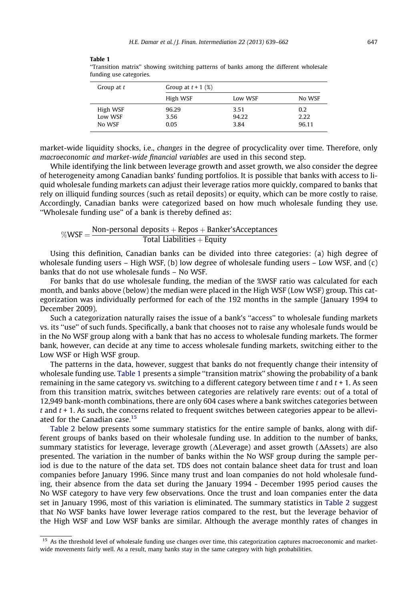| Group at t                    | Group at $t + 1$ (%)  |                       |                      |  |  |
|-------------------------------|-----------------------|-----------------------|----------------------|--|--|
|                               | High WSF              | Low WSF               | No WSF               |  |  |
| High WSF<br>Low WSF<br>No WSF | 96.29<br>3.56<br>0.05 | 3.51<br>94.22<br>3.84 | 0.2<br>2.22<br>96.11 |  |  |

''Transition matrix'' showing switching patterns of banks among the different wholesale funding use categories.

market-wide liquidity shocks, i.e., changes in the degree of procyclicality over time. Therefore, only macroeconomic and market-wide financial variables are used in this second step.

While identifying the link between leverage growth and asset growth, we also consider the degree of heterogeneity among Canadian banks' funding portfolios. It is possible that banks with access to liquid wholesale funding markets can adjust their leverage ratios more quickly, compared to banks that rely on illiquid funding sources (such as retail deposits) or equity, which can be more costly to raise. Accordingly, Canadian banks were categorized based on how much wholesale funding they use. ''Wholesale funding use'' of a bank is thereby defined as:

## %WSF =  $\frac{Non-personal \text{ deposits}}{k + \text{Repos} + \text{Banker'sAcceptances}}$ Total Liabilities  $+$  Equity

Using this definition, Canadian banks can be divided into three categories: (a) high degree of wholesale funding users – High WSF, (b) low degree of wholesale funding users – Low WSF, and (c) banks that do not use wholesale funds – No WSF.

For banks that do use wholesale funding, the median of the %WSF ratio was calculated for each month, and banks above (below) the median were placed in the High WSF (Low WSF) group. This categorization was individually performed for each of the 192 months in the sample (January 1994 to December 2009).

Such a categorization naturally raises the issue of a bank's ''access'' to wholesale funding markets vs. its ''use'' of such funds. Specifically, a bank that chooses not to raise any wholesale funds would be in the No WSF group along with a bank that has no access to wholesale funding markets. The former bank, however, can decide at any time to access wholesale funding markets, switching either to the Low WSF or High WSF group.

The patterns in the data, however, suggest that banks do not frequently change their intensity of wholesale funding use. Table 1 presents a simple ''transition matrix'' showing the probability of a bank remaining in the same category vs. switching to a different category between time  $t$  and  $t + 1$ . As seen from this transition matrix, switches between categories are relatively rare events: out of a total of 12,949 bank-month combinations, there are only 604 cases where a bank switches categories between  $t$  and  $t + 1$ . As such, the concerns related to frequent switches between categories appear to be alleviated for the Canadian case.15

[Table 2](#page-9-0) below presents some summary statistics for the entire sample of banks, along with different groups of banks based on their wholesale funding use. In addition to the number of banks, summary statistics for leverage, leverage growth ( $\Delta$ Leverage) and asset growth ( $\Delta$ Assets) are also presented. The variation in the number of banks within the No WSF group during the sample period is due to the nature of the data set. TDS does not contain balance sheet data for trust and loan companies before January 1996. Since many trust and loan companies do not hold wholesale funding, their absence from the data set during the January 1994 - December 1995 period causes the No WSF category to have very few observations. Once the trust and loan companies enter the data set in January 1996, most of this variation is eliminated. The summary statistics in [Table 2](#page-9-0) suggest that No WSF banks have lower leverage ratios compared to the rest, but the leverage behavior of the High WSF and Low WSF banks are similar. Although the average monthly rates of changes in

<sup>&</sup>lt;sup>15</sup> As the threshold level of wholesale funding use changes over time, this categorization captures macroeconomic and marketwide movements fairly well. As a result, many banks stay in the same category with high probabilities.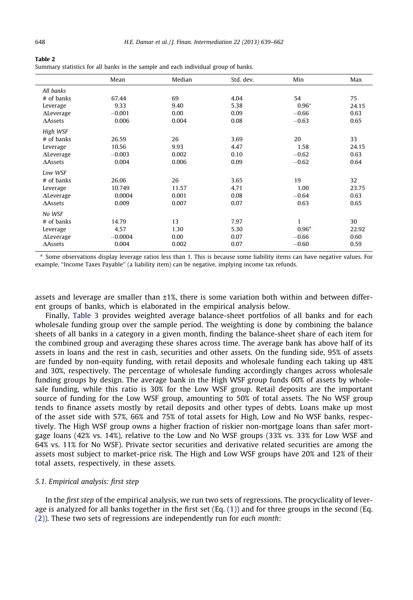|                    | Mean      | Median | Std. dev. | Min               | Max   |
|--------------------|-----------|--------|-----------|-------------------|-------|
| All banks          |           |        |           |                   |       |
| # of banks         | 67.44     | 69     | 4.04      | 54                | 75    |
| Leverage           | 9.33      | 9.40   | 5.38      | $0.96*$           | 24.15 |
| $\Delta$ Leverage  | $-0.001$  | 0.00   | 0.09      | $-0.66$           | 0.63  |
| $\triangle$ Assets | 0.006     | 0.004  | 0.08      | $-0.63$           | 0.65  |
| High WSF           |           |        |           |                   |       |
| # of banks         | 26.59     | 26     | 3.69      | 20                | 33    |
| Leverage           | 10.56     | 9.93   | 4.47      | 1.58              | 24.15 |
| $\Delta$ Leverage  | $-0.003$  | 0.002  | 0.10      | $-0.62$           | 0.63  |
| $\triangle$ Assets | 0.004     | 0.006  | 0.09      | $-0.62$           | 0.64  |
| Low WSF            |           |        |           |                   |       |
| # of banks         | 26.06     | 26     | 3.65      | 19                | 32    |
| Leverage           | 10.749    | 11.57  | 4.71      | 1.00              | 23.75 |
| $\Delta$ Leverage  | 0.0004    | 0.001  | 0.08      | $-0.64$           | 0.63  |
| $\triangle$ Assets | 0.009     | 0.007  | 0.07      | 0.63              | 0.65  |
| No WSF             |           |        |           |                   |       |
| # of banks         | 14.79     | 13     | 7.97      | $\mathbf{1}$      | 30    |
| Leverage           | 4.57      | 1.30   | 5.30      | 0.96 <sup>a</sup> | 22.92 |
| $\Delta$ Leverage  | $-0.0004$ | 0.00   | 0.07      | $-0.66$           | 0.60  |
| $\triangle$ Assets | 0.004     | 0.002  | 0.07      | $-0.60$           | 0.59  |

<span id="page-9-0"></span>

| Table 2                                                                            |
|------------------------------------------------------------------------------------|
| Summary statistics for all banks in the sample and each individual group of banks. |

<sup>a</sup> Some observations display leverage ratios less than 1. This is because some liability items can have negative values. For example, ''Income Taxes Payable'' (a liability item) can be negative, implying income tax refunds.

assets and leverage are smaller than  $\pm 1\%$ , there is some variation both within and between different groups of banks, which is elaborated in the empirical analysis below.

Finally, [Table 3](#page-10-0) provides weighted average balance-sheet portfolios of all banks and for each wholesale funding group over the sample period. The weighting is done by combining the balance sheets of all banks in a category in a given month, finding the balance-sheet share of each item for the combined group and averaging these shares across time. The average bank has above half of its assets in loans and the rest in cash, securities and other assets. On the funding side, 95% of assets are funded by non-equity funding, with retail deposits and wholesale funding each taking up 48% and 30%, respectively. The percentage of wholesale funding accordingly changes across wholesale funding groups by design. The average bank in the High WSF group funds 60% of assets by wholesale funding, while this ratio is 30% for the Low WSF group. Retail deposits are the important source of funding for the Low WSF group, amounting to 50% of total assets. The No WSF group tends to finance assets mostly by retail deposits and other types of debts. Loans make up most of the asset side with 57%, 66% and 75% of total assets for High, Low and No WSF banks, respectively. The High WSF group owns a higher fraction of riskier non-mortgage loans than safer mortgage loans (42% vs. 14%), relative to the Low and No WSF groups (33% vs. 33% for Low WSF and 64% vs. 11% for No WSF). Private sector securities and derivative related securities are among the assets most subject to market-price risk. The High and Low WSF groups have 20% and 12% of their total assets, respectively, in these assets.

## 5.1. Empirical analysis: first step

In the first step of the empirical analysis, we run two sets of regressions. The procyclicality of leverage is analyzed for all banks together in the first set  $(Eq. (1))$  and for three groups in the second  $(Eq.$ (2)). These two sets of regressions are independently run for each month: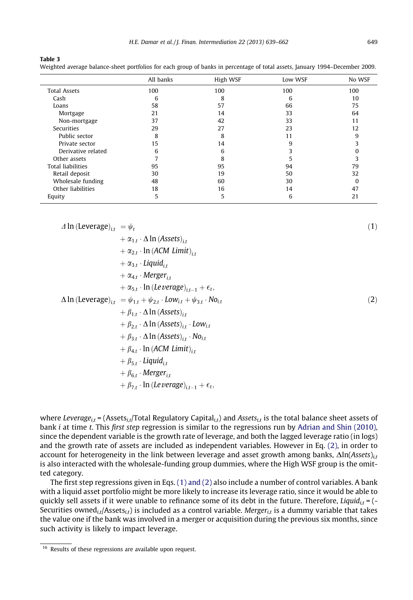|                          | All banks | High WSF | Low WSF | No WSF   |
|--------------------------|-----------|----------|---------|----------|
| <b>Total Assets</b>      | 100       | 100      | 100     | 100      |
| Cash                     | 6         | 8        | 6       | 10       |
| Loans                    | 58        | 57       | 66      | 75       |
| Mortgage                 | 21        | 14       | 33      | 64       |
| Non-mortgage             | 37        | 42       | 33      | 11       |
| <b>Securities</b>        | 29        | 27       | 23      | 12       |
| Public sector            | 8         | 8        | 11      | 9        |
| Private sector           | 15        | 14       | q       | 3        |
| Derivative related       | 6         | 6        |         | 0        |
| Other assets             |           | 8        | 5       | 3        |
| <b>Total liabilities</b> | 95        | 95       | 94      | 79       |
| Retail deposit           | 30        | 19       | 50      | 32       |
| Wholesale funding        | 48        | 60       | 30      | $\Omega$ |
| Other liabilities        | 18        | 16       | 14      | 47       |
| Equity                   | 5         | 5        | 6       | 21       |

<span id="page-10-0"></span>Weighted average balance-sheet portfolios for each group of banks in percentage of total assets, January 1994–December 2009.

$$
\Delta \ln (\text{Leverage})_{i,t} = \psi_t
$$
\n
$$
+ \alpha_{1,t} \cdot \Delta \ln (Assets)_{i,t} + \alpha_{2,t} \cdot \ln (ACM \text{ Limit})_{i,t}
$$
\n
$$
+ \alpha_{3,t} \cdot \text{liquid}_{i,t} + \alpha_{4,t} \cdot \text{Merge}_{i,t}
$$
\n
$$
+ \alpha_{4,t} \cdot \text{Merge}_{i,t}
$$
\n
$$
\Delta \ln (\text{Leverage})_{i,t} = \psi_{1,t} + \psi_{2,t} \cdot \text{Low}_{i,t} + \psi_{3,t} \cdot \text{No}_{i,t}
$$
\n
$$
+ \beta_{1,t} \cdot \Delta \ln (Assets)_{i,t}
$$
\n
$$
+ \beta_{2,t} \cdot \Delta \ln (Assets)_{i,t} \cdot \text{Low}_{i,t}
$$
\n
$$
+ \beta_{3,t} \cdot \Delta \ln (Assets)_{i,t} \cdot \text{No}_{i,t}
$$
\n
$$
+ \beta_{4,t} \cdot \ln (ACM \text{ Limit})_{i,t}
$$
\n
$$
+ \beta_{5,t} \cdot \text{liquid}_{i,t}
$$
\n
$$
+ \beta_{6,t} \cdot \text{Merge}_{i,t}
$$
\n
$$
+ \beta_{7,t} \cdot \ln (\text{Leverage})_{i,t-1} + \epsilon_t,
$$

where Leverage<sub>it</sub> = (Assets<sub>it</sub>/Total Regulatory Capital<sub>it</sub>) and Assets<sub>it</sub> is the total balance sheet assets of bank i at time t. This first step regression is similar to the regressions run by [Adrian and Shin \(2010\)](#page-23-0), since the dependent variable is the growth rate of leverage, and both the lagged leverage ratio (in logs) and the growth rate of assets are included as independent variables. However in Eq. (2), in order to account for heterogeneity in the link between leverage and asset growth among banks,  $\Delta \ln(A$ ssets)<sub>it</sub> is also interacted with the wholesale-funding group dummies, where the High WSF group is the omitted category.

The first step regressions given in Eqs. [\(1\) and \(2\)](#page-9-0) also include a number of control variables. A bank with a liquid asset portfolio might be more likely to increase its leverage ratio, since it would be able to quickly sell assets if it were unable to refinance some of its debt in the future. Therefore, Liquid<sub>it</sub> =  $(-\frac{1}{2}$ Securities owned<sub>i,t</sub>/Assets<sub>i,t</sub>) is included as a control variable. Merger<sub>i,t</sub> is a dummy variable that takes the value one if the bank was involved in a merger or acquisition during the previous six months, since such activity is likely to impact leverage.

<sup>&</sup>lt;sup>16</sup> Results of these regressions are available upon request.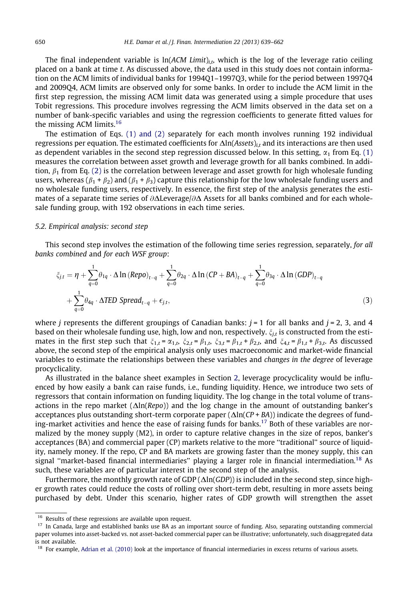<span id="page-11-0"></span>The final independent variable is  $ln(ACM Limit)$ <sub>i</sub>, which is the log of the leverage ratio ceiling placed on a bank at time t. As discussed above, the data used in this study does not contain information on the ACM limits of individual banks for 1994Q1–1997Q3, while for the period between 1997Q4 and 2009Q4, ACM limits are observed only for some banks. In order to include the ACM limit in the first step regression, the missing ACM limit data was generated using a simple procedure that uses Tobit regressions. This procedure involves regressing the ACM limits observed in the data set on a number of bank-specific variables and using the regression coefficients to generate fitted values for the missing ACM limits.[16](#page-10-0)

The estimation of Eqs. [\(1\) and \(2\)](#page-9-0) separately for each month involves running 192 individual regressions per equation. The estimated coefficients for  $\Delta \ln(Asset)_{it}$  and its interactions are then used as dependent variables in the second step regression discussed below. In this setting,  $\alpha_1$  from Eq. [\(1\)](#page-9-0) measures the correlation between asset growth and leverage growth for all banks combined. In addition,  $\beta_1$  from Eq. (2) is the correlation between leverage and asset growth for high wholesale funding users, whereas ( $\beta_1 + \beta_2$ ) and ( $\beta_1 + \beta_3$ ) capture this relationship for the low wholesale funding users and no wholesale funding users, respectively. In essence, the first step of the analysis generates the estimates of a separate time series of  $\partial \Delta$ Leverage/ $\partial \Delta$  Assets for all banks combined and for each wholesale funding group, with 192 observations in each time series.

## 5.2. Empirical analysis: second step

This second step involves the estimation of the following time series regression, separately, for all banks combined and for each WSF group:

$$
\zeta_{j,t} = \eta + \sum_{q=0}^{1} \theta_{1q} \cdot \Delta \ln (Repo)_{t-q} + \sum_{q=0}^{1} \theta_{2q} \cdot \Delta \ln (CP + BA)_{t-q} + \sum_{q=0}^{1} \theta_{3q} \cdot \Delta \ln (GDP)_{t-q} + \sum_{q=0}^{1} \theta_{4q} \cdot \Delta TED Spread_{t-q} + \epsilon_{j,t},
$$
\n(3)

where *j* represents the different groupings of Canadian banks:  $j = 1$  for all banks and  $j = 2$ , 3, and 4 based on their wholesale funding use, high, low and non, respectively.  $\xi_{j,t}$  is constructed from the estimates in the first step such that  $\xi_{1,t} = \alpha_{1,t}, \xi_{2,t} = \beta_{1,t}, \xi_{3,t} = \beta_{1,t} + \beta_{2,t}$ , and  $\xi_{4,t} = \beta_{1,t} + \beta_{3,t}$ . As discussed above, the second step of the empirical analysis only uses macroeconomic and market-wide financial variables to estimate the relationships between these variables and changes in the degree of leverage procyclicality.

As illustrated in the balance sheet examples in Section [2,](#page-2-0) leverage procyclicality would be influenced by how easily a bank can raise funds, i.e., funding liquidity. Hence, we introduce two sets of regressors that contain information on funding liquidity. The log change in the total volume of transactions in the repo market  $(\Delta \ln(\text{Repo}))$  and the log change in the amount of outstanding banker's acceptances plus outstanding short-term corporate paper  $(\Delta \ln(CP + BA))$  indicate the degrees of funding-market activities and hence the ease of raising funds for banks.<sup>17</sup> Both of these variables are normalized by the money supply (M2), in order to capture relative changes in the size of repos, banker's acceptances (BA) and commercial paper (CP) markets relative to the more ''traditional'' source of liquidity, namely money. If the repo, CP and BA markets are growing faster than the money supply, this can signal ''market-based financial intermediaries'' playing a larger role in financial intermediation.18 As such, these variables are of particular interest in the second step of the analysis.

Furthermore, the monthly growth rate of GDP ( $\Delta \ln(GDP)$ ) is included in the second step, since higher growth rates could reduce the costs of rolling over short-term debt, resulting in more assets being purchased by debt. Under this scenario, higher rates of GDP growth will strengthen the asset

<sup>&</sup>lt;sup>16</sup> Results of these regressions are available upon request.

<sup>&</sup>lt;sup>17</sup> In Canada, large and established banks use BA as an important source of funding. Also, separating outstanding commercial paper volumes into asset-backed vs. not asset-backed commercial paper can be illustrative; unfortunately, such disaggregated data is not available.

 $18$  For example, [Adrian et al. \(2010\)](#page-23-0) look at the importance of financial intermediaries in excess returns of various assets.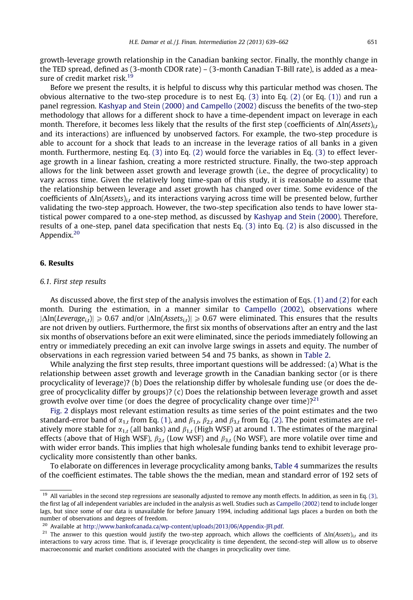<span id="page-12-0"></span>growth-leverage growth relationship in the Canadian banking sector. Finally, the monthly change in the TED spread, defined as (3-month CDOR rate) – (3-month Canadian T-Bill rate), is added as a measure of credit market risk.<sup>19</sup>

Before we present the results, it is helpful to discuss why this particular method was chosen. The obvious alternative to the two-step procedure is to nest Eq.  $(3)$  into Eq.  $(2)$  (or Eq.  $(1)$ ) and run a panel regression. [Kashyap and Stein \(2000\) and Campello \(2002\)](#page-23-0) discuss the benefits of the two-step methodology that allows for a different shock to have a time-dependent impact on leverage in each month. Therefore, it becomes less likely that the results of the first step (coefficients of  $\Delta \ln(A$ ssets)<sub>it</sub> and its interactions) are influenced by unobserved factors. For example, the two-step procedure is able to account for a shock that leads to an increase in the leverage ratios of all banks in a given month. Furthermore, nesting Eq. [\(3\)](#page-11-0) into Eq. (2) would force the variables in Eq. [\(3\)](#page-11-0) to effect leverage growth in a linear fashion, creating a more restricted structure. Finally, the two-step approach allows for the link between asset growth and leverage growth (i.e., the degree of procyclicality) to vary across time. Given the relatively long time-span of this study, it is reasonable to assume that the relationship between leverage and asset growth has changed over time. Some evidence of the coefficients of  $\Delta \ln(A \text{s} \text{sets})_{i}$  and its interactions varying across time will be presented below, further validating the two-step approach. However, the two-step specification also tends to have lower statistical power compared to a one-step method, as discussed by [Kashyap and Stein \(2000\)](#page-23-0). Therefore, results of a one-step, panel data specification that nests Eq. [\(3\)](#page-11-0) into Eq. (2) is also discussed in the Appendix.<sup>20</sup>

### 6. Results

#### 6.1. First step results

As discussed above, the first step of the analysis involves the estimation of Eqs. [\(1\) and \(2\)](#page-9-0) for each month. During the estimation, in a manner similar to [Campello \(2002\)](#page-23-0), observations where  $|\Delta \ln(Leverage_{i,t})| \geq 0.67$  and/or  $|\Delta \ln(Assets_{i,t})| \geq 0.67$  were eliminated. This ensures that the results are not driven by outliers. Furthermore, the first six months of observations after an entry and the last six months of observations before an exit were eliminated, since the periods immediately following an entry or immediately preceding an exit can involve large swings in assets and equity. The number of observations in each regression varied between 54 and 75 banks, as shown in [Table 2.](#page-9-0)

While analyzing the first step results, three important questions will be addressed: (a) What is the relationship between asset growth and leverage growth in the Canadian banking sector (or is there procyclicality of leverage)? (b) Does the relationship differ by wholesale funding use (or does the degree of procyclicality differ by groups)? (c) Does the relationship between leverage growth and asset growth evolve over time (or does the degree of procyclicality change over time)?<sup>21</sup>

[Fig. 2](#page-13-0) displays most relevant estimation results as time series of the point estimates and the two standard-error band of  $\alpha_{1,t}$  from Eq. [\(1](#page-9-0)), and  $\beta_{1,t}$ ,  $\beta_{2,t}$  and  $\beta_{3,t}$  from Eq. (2). The point estimates are relatively more stable for  $\alpha_{1,t}$  (all banks) and  $\beta_{1,t}$  (High WSF) at around 1. The estimates of the marginal effects (above that of High WSF),  $\beta_{2,t}$  (Low WSF) and  $\beta_{3,t}$  (No WSF), are more volatile over time and with wider error bands. This implies that high wholesale funding banks tend to exhibit leverage procyclicality more consistently than other banks.

To elaborate on differences in leverage procyclicality among banks, [Table 4](#page-14-0) summarizes the results of the coefficient estimates. The table shows the the median, mean and standard error of 192 sets of

 $\frac{19}{19}$  All variables in the second step regressions are seasonally adjusted to remove any month effects. In addition, as seen in Eq. [\(3\)](#page-11-0), the first lag of all independent variables are included in the analysis as well. Studies such as [Campello \(2002\)](#page-23-0) tend to include longer lags, but since some of our data is unavailable for before January 1994, including additional lags places a burden on both the number of observations and degrees of freedom.

<sup>20</sup> Available at <http://www.bankofcanada.ca/wp-content/uploads/2013/06/Appendix-JFI.pdf>.

<sup>&</sup>lt;sup>21</sup> The answer to this question would justify the two-step approach, which allows the coefficients of  $\Delta$ ln(Assets)<sub>i,t</sub> and its interactions to vary across time. That is, if leverage procyclicality is time dependent, the second-step will allow us to observe macroeconomic and market conditions associated with the changes in procyclicality over time.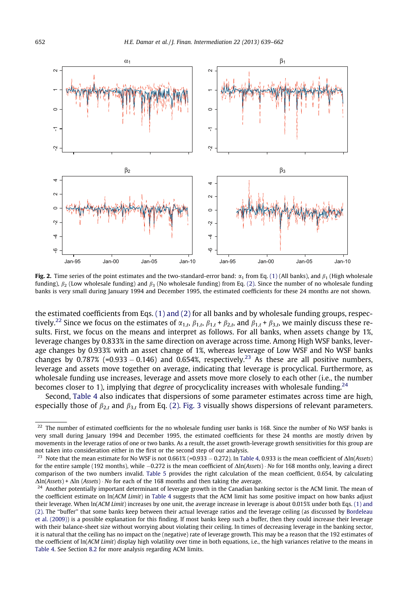<span id="page-13-0"></span>

Fig. 2. Time series of the point estimates and the two-standard-error band:  $\alpha_1$  from Eq. [\(1\)](#page-9-0) (All banks), and  $\beta_1$  (High wholesale funding),  $\beta_2$  (Low wholesale funding) and  $\beta_3$  (No wholesale funding) from Eq. (2). Since the number of no wholesale funding banks is very small during January 1994 and December 1995, the estimated coefficients for these 24 months are not shown.

the estimated coefficients from Eqs. [\(1\) and \(2\)](#page-9-0) for all banks and by wholesale funding groups, respectively.<sup>22</sup> Since we focus on the estimates of  $\alpha_{1,t}$ ,  $\beta_{1,t}$ ,  $\beta_{1,t}$  +  $\beta_{2,t}$ , and  $\beta_{1,t}$  +  $\beta_{3,t}$ , we mainly discuss these results. First, we focus on the means and interpret as follows. For all banks, when assets change by 1%, leverage changes by 0.833% in the same direction on average across time. Among High WSF banks, leverage changes by 0.933% with an asset change of 1%, whereas leverage of Low WSF and No WSF banks changes by 0.787% (=0.933 – 0.146) and 0.654%, respectively.<sup>23</sup> As these are all positive numbers, leverage and assets move together on average, indicating that leverage is procyclical. Furthermore, as wholesale funding use increases, leverage and assets move more closely to each other (i.e., the number becomes closer to 1), implying that *degree* of procyclicality increases with wholesale funding.<sup>24</sup>

Second, [Table 4](#page-14-0) also indicates that dispersions of some parameter estimates across time are high,

The number of estimated coefficients for the no wholesale funding user banks is 168. Since the number of No WSF banks is very small during January 1994 and December 1995, the estimated coefficients for these 24 months are mostly driven by movements in the leverage ratios of one or two banks. As a result, the asset growth-leverage growth sensitivities for this group are not taken into consideration either in the first or the second step of our analysis.

 $^{23}$  Note that the mean estimate for No WSF is not 0.661% (=0.933 – 0.272). In [Table 4](#page-14-0), 0.933 is the mean coefficient of  $\Delta$ ln(Assets) for the entire sample (192 months), while  $-0.272$  is the mean coefficient of  $\Delta$ ln(Assets)  $\cdot$  No for 168 months only, leaving a direct comparison of the two numbers invalid. [Table 5](#page-15-0) provides the right calculation of the mean coefficient, 0.654, by calculating  $\Delta$ ln(Assets) +  $\Delta$ ln (Assets)  $\cdot$  No for each of the 168 months and then taking the average.

 $24$  Another potentially important determinant of leverage growth in the Canadian banking sector is the ACM limit. The mean of the coefficient estimate on ln(ACM Limit) in [Table 4](#page-14-0) suggests that the ACM limit has some positive impact on how banks adjust their leverage. When ln(ACM Limit) increases by one unit, the average increase in leverage is about 0.015% under both Eqs. [\(1\) and](#page-9-0) [\(2\)](#page-9-0). The ''buffer'' that some banks keep between their actual leverage ratios and the leverage ceiling (as discussed by [Bordeleau](#page-23-0) [et al. \(2009\)](#page-23-0)) is a possible explanation for this finding. If most banks keep such a buffer, then they could increase their leverage with their balance-sheet size without worrying about violating their ceiling. In times of decreasing leverage in the banking sector, it is natural that the ceiling has no impact on the (negative) rate of leverage growth. This may be a reason that the 192 estimates of the coefficient of ln(ACM Limit) display high volatility over time in both equations, i.e., the high variances relative to the means in [Table 4.](#page-14-0) See Section [8.2](#page-20-0) for more analysis regarding ACM limits.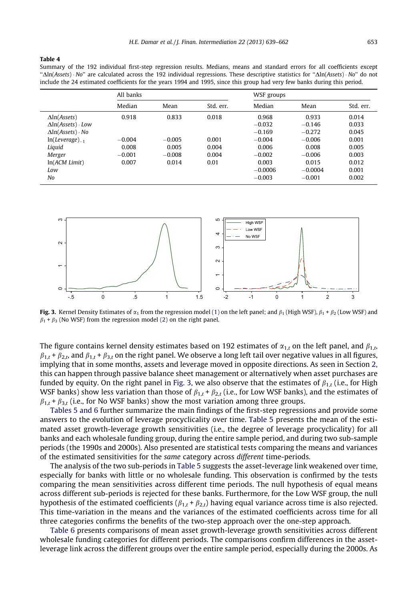<span id="page-14-0"></span>Summary of the 192 individual first-step regression results. Medians, means and standard errors for all coefficients except " $\Delta$ ln(Assets)  $\cdot$  No" are calculated across the 192 individual regressions. These descriptive statistics for " $\Delta$ ln(Assets)  $\cdot$  No" do not include the 24 estimated coefficients for the years 1994 and 1995, since this group had very few banks during this period.

|                                 | All banks |          |           | WSF groups |           |           |
|---------------------------------|-----------|----------|-----------|------------|-----------|-----------|
|                                 | Median    | Mean     | Std. err. | Median     | Mean      | Std. err. |
| $\Delta$ ln(Assets)             | 0.918     | 0.833    | 0.018     | 0.968      | 0.933     | 0.014     |
| $\Delta$ ln(Assets) $\cdot$ Low |           |          |           | $-0.032$   | $-0.146$  | 0.033     |
| $\Delta$ ln(Assets) $\cdot$ No  |           |          |           | $-0.169$   | $-0.272$  | 0.045     |
| $ln(Leverage)_{-1}$             | $-0.004$  | $-0.005$ | 0.001     | $-0.004$   | $-0.006$  | 0.001     |
| Liquid                          | 0.008     | 0.005    | 0.004     | 0.006      | 0.008     | 0.005     |
| Merger                          | $-0.001$  | $-0.008$ | 0.004     | $-0.002$   | $-0.006$  | 0.003     |
| ln(ACM Limit)                   | 0.007     | 0.014    | 0.01      | 0.003      | 0.015     | 0.012     |
| Low                             |           |          |           | $-0.0006$  | $-0.0004$ | 0.001     |
| No                              |           |          |           | $-0.003$   | $-0.001$  | 0.002     |



Fig. 3. Kernel Density Estimates of  $\alpha_1$  from the regression model [\(1\)](#page-9-0) on the left panel; and  $\beta_1$  (High WSF),  $\beta_1 + \beta_2$  (Low WSF) and  $\beta_1$  +  $\beta_3$  (No WSF) from the regression model (2) on the right panel.

The figure contains kernel density estimates based on 192 estimates of  $\alpha_{1,t}$  on the left panel, and  $\beta_{1,t}$ ,  $\beta_{1,t}$  +  $\beta_{2,t}$ , and  $\beta_{1,t}$  +  $\beta_{3,t}$  on the right panel. We observe a long left tail over negative values in all figures, implying that in some months, assets and leverage moved in opposite directions. As seen in Section [2](#page-2-0), this can happen through passive balance sheet management or alternatively when asset purchases are funded by equity. On the right panel in Fig. 3, we also observe that the estimates of  $\beta_{1,t}$  (i.e., for High WSF banks) show less variation than those of  $\beta_{1,t}$  +  $\beta_{2,t}$  (i.e., for Low WSF banks), and the estimates of  $\beta_{1,t}$  +  $\beta_{3,t}$  (i.e., for No WSF banks) show the most variation among three groups.

[Tables 5 and 6](#page-15-0) further summarize the main findings of the first-step regressions and provide some answers to the evolution of leverage procyclicality over time. [Table 5](#page-15-0) presents the mean of the estimated asset growth-leverage growth sensitivities (i.e., the degree of leverage procyclicality) for all banks and each wholesale funding group, during the entire sample period, and during two sub-sample periods (the 1990s and 2000s). Also presented are statistical tests comparing the means and variances of the estimated sensitivities for the same category across different time-periods.

The analysis of the two sub-periods in [Table 5](#page-15-0) suggests the asset-leverage link weakened over time, especially for banks with little or no wholesale funding. This observation is confirmed by the tests comparing the mean sensitivities across different time periods. The null hypothesis of equal means across different sub-periods is rejected for these banks. Furthermore, for the Low WSF group, the null hypothesis of the estimated coefficients ( $\beta_{1,t} + \beta_{2,t}$ ) having equal variance across time is also rejected. This time-variation in the means and the variances of the estimated coefficients across time for all three categories confirms the benefits of the two-step approach over the one-step approach.

[Table 6](#page-15-0) presents comparisons of mean asset growth-leverage growth sensitivities across different wholesale funding categories for different periods. The comparisons confirm differences in the assetleverage link across the different groups over the entire sample period, especially during the 2000s. As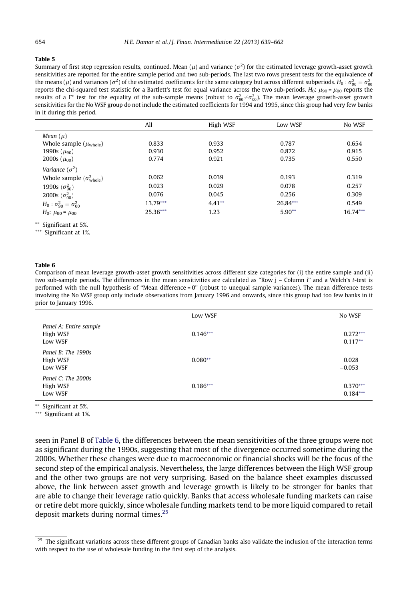<span id="page-15-0"></span>Summary of first step regression results, continued. Mean  $(\mu)$  and variance  $(\sigma^2)$  for the estimated leverage growth-asset growth sensitivities are reported for the entire sample period and two sub-periods. The last two rows present tests for the equivalence of the means ( $\mu$ ) and variances ( $\sigma^2$ ) of the estimated coefficients for the same category but across different subperiods.  $H_0$  :  $\sigma^2_{90}=\sigma^2_{00}$ reports the chi-squared test statistic for a Bartlett's test for equal variance across the two sub-periods.  $H_0$ :  $\mu_{90} = \mu_{00}$  reports the results of a F\* test for the equality of the sub-sample means (robust to  $\sigma_{90}^2\neq\sigma_{00}^2$ ). The mean leverage growth-asset growth sensitivities for the No WSF group do not include the estimated coefficients for 1994 and 1995, since this group had very few banks in it during this period.

|                                          | All        | High WSF | Low WSF  | No WSF     |
|------------------------------------------|------------|----------|----------|------------|
| Mean $(\mu)$                             |            |          |          |            |
| Whole sample $(\mu_{\text{whole}})$      | 0.833      | 0.933    | 0.787    | 0.654      |
| 1990s $(\mu_{90})$                       | 0.930      | 0.952    | 0.872    | 0.915      |
| 2000s $(\mu_{00})$                       | 0.774      | 0.921    | 0.735    | 0.550      |
| Variance $(\sigma^2)$                    |            |          |          |            |
| Whole sample $(\sigma^2_{\text{whole}})$ | 0.062      | 0.039    | 0.193    | 0.319      |
| 1990s $(\sigma_{00}^2)$                  | 0.023      | 0.029    | 0.078    | 0.257      |
| 2000s ( $\sigma_{00}^2$ )                | 0.076      | 0.045    | 0.256    | 0.309      |
| $H_0: \sigma_{90}^2 = \sigma_{00}^2$     | $13.79***$ | $4.41**$ | 26.84*** | 0.549      |
| $H_0$ : $\mu_{90} = \mu_{00}$            | 25.36***   | 1.23     | $5.90**$ | $16.74***$ |

⁄⁄ Significant at 5%.

⁄⁄⁄ Significant at 1%.

## Table 6

Comparison of mean leverage growth-asset growth sensitivities across different size categories for (i) the entire sample and (ii) two sub-sample periods. The differences in the mean sensitivities are calculated as ''Row j – Column i'' and a Welch's t-test is performed with the null hypothesis of ''Mean difference = 0'' (robust to unequal sample variances). The mean difference tests involving the No WSF group only include observations from January 1996 and onwards, since this group had too few banks in it prior to January 1996.

|                                               | Low WSF    | No WSF                   |
|-----------------------------------------------|------------|--------------------------|
| Panel A: Entire sample<br>High WSF<br>Low WSF | $0.146***$ | $0.272***$<br>$0.117**$  |
| Panel B: The 1990s<br>High WSF<br>Low WSF     | $0.080**$  | 0.028<br>$-0.053$        |
| Panel C: The $2000s$<br>High WSF<br>Low WSF   | $0.186***$ | $0.370***$<br>$0.184***$ |

⁄⁄ Significant at 5%.

⁄⁄⁄ Significant at 1%.

seen in Panel B of Table 6, the differences between the mean sensitivities of the three groups were not as significant during the 1990s, suggesting that most of the divergence occurred sometime during the 2000s. Whether these changes were due to macroeconomic or financial shocks will be the focus of the second step of the empirical analysis. Nevertheless, the large differences between the High WSF group and the other two groups are not very surprising. Based on the balance sheet examples discussed above, the link between asset growth and leverage growth is likely to be stronger for banks that are able to change their leverage ratio quickly. Banks that access wholesale funding markets can raise or retire debt more quickly, since wholesale funding markets tend to be more liquid compared to retail deposit markets during normal times.<sup>25</sup>

<sup>&</sup>lt;sup>25</sup> The significant variations across these different groups of Canadian banks also validate the inclusion of the interaction terms with respect to the use of wholesale funding in the first step of the analysis.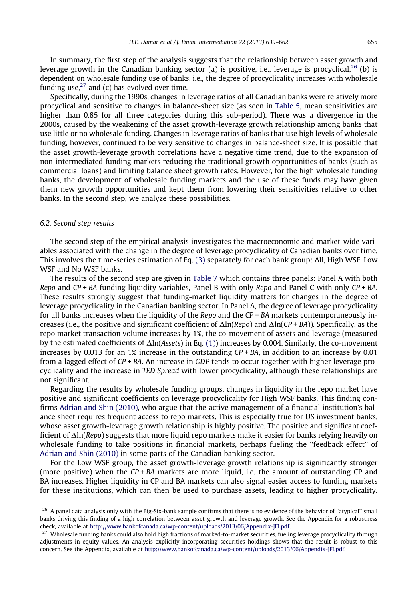In summary, the first step of the analysis suggests that the relationship between asset growth and leverage growth in the Canadian banking sector (a) is positive, i.e., leverage is procyclical, $^{26}$  (b) is dependent on wholesale funding use of banks, i.e., the degree of procyclicality increases with wholesale funding use, $27$  and (c) has evolved over time.

Specifically, during the 1990s, changes in leverage ratios of all Canadian banks were relatively more procyclical and sensitive to changes in balance-sheet size (as seen in [Table 5,](#page-15-0) mean sensitivities are higher than 0.85 for all three categories during this sub-period). There was a divergence in the 2000s, caused by the weakening of the asset growth-leverage growth relationship among banks that use little or no wholesale funding. Changes in leverage ratios of banks that use high levels of wholesale funding, however, continued to be very sensitive to changes in balance-sheet size. It is possible that the asset growth-leverage growth correlations have a negative time trend, due to the expansion of non-intermediated funding markets reducing the traditional growth opportunities of banks (such as commercial loans) and limiting balance sheet growth rates. However, for the high wholesale funding banks, the development of wholesale funding markets and the use of these funds may have given them new growth opportunities and kept them from lowering their sensitivities relative to other banks. In the second step, we analyze these possibilities.

## 6.2. Second step results

The second step of the empirical analysis investigates the macroeconomic and market-wide variables associated with the change in the degree of leverage procyclicality of Canadian banks over time. This involves the time-series estimation of Eq. [\(3\)](#page-11-0) separately for each bank group: All, High WSF, Low WSF and No WSF banks.

The results of the second step are given in [Table 7](#page-17-0) which contains three panels: Panel A with both Repo and  $\mathbb{CP}$  + BA funding liquidity variables, Panel B with only Repo and Panel C with only  $\mathbb{CP}$  + BA. These results strongly suggest that funding-market liquidity matters for changes in the degree of leverage procyclicality in the Canadian banking sector. In Panel A, the degree of leverage procyclicality for all banks increases when the liquidity of the Repo and the  $\mathbb{CP}$  + BA markets contemporaneously increases (i.e., the positive and significant coefficient of  $\Delta \ln(Repo)$  and  $\Delta \ln(CP + BA)$ ). Specifically, as the repo market transaction volume increases by 1%, the co-movement of assets and leverage (measured by the estimated coefficients of  $\Delta$ ln(Assets) in Eq. [\(1\)](#page-9-0)) increases by 0.004. Similarly, the co-movement increases by 0.013 for an 1% increase in the outstanding  $CP + BA$ , in addition to an increase by 0.01 from a lagged effect of CP + BA. An increase in GDP tends to occur together with higher leverage procyclicality and the increase in TED Spread with lower procyclicality, although these relationships are not significant.

Regarding the results by wholesale funding groups, changes in liquidity in the repo market have positive and significant coefficients on leverage procyclicality for High WSF banks. This finding confirms [Adrian and Shin \(2010\)](#page-23-0), who argue that the active management of a financial institution's balance sheet requires frequent access to repo markets. This is especially true for US investment banks, whose asset growth-leverage growth relationship is highly positive. The positive and significant coefficient of  $\Delta$ ln(Repo) suggests that more liquid repo markets make it easier for banks relying heavily on wholesale funding to take positions in financial markets, perhaps fueling the ''feedback effect'' of [Adrian and Shin \(2010\)](#page-23-0) in some parts of the Canadian banking sector.

For the Low WSF group, the asset growth-leverage growth relationship is significantly stronger (more positive) when the  $\mathbb{CP}$  + BA markets are more liquid, i.e. the amount of outstanding CP and BA increases. Higher liquidity in CP and BA markets can also signal easier access to funding markets for these institutions, which can then be used to purchase assets, leading to higher procyclicality.

 $26$  A panel data analysis only with the Big-Six-bank sample confirms that there is no evidence of the behavior of "atypical" small banks driving this finding of a high correlation between asset growth and leverage growth. See the Appendix for a robustness check, available at [http://www.bankofcanada.ca/wp-content/uploads/2013/06/Appendix-JFI.pdf.](http://www.bankofcanada.ca/wp-content/uploads/2013/06/Appendix-JFI.pdf)

<sup>&</sup>lt;sup>27</sup> Wholesale funding banks could also hold high fractions of marked-to-market securities, fueling leverage procyclicality through adjustments in equity values. An analysis explicitly incorporating securities holdings shows that the result is robust to this concern. See the Appendix, available at <http://www.bankofcanada.ca/wp-content/uploads/2013/06/Appendix-JFI.pdf>.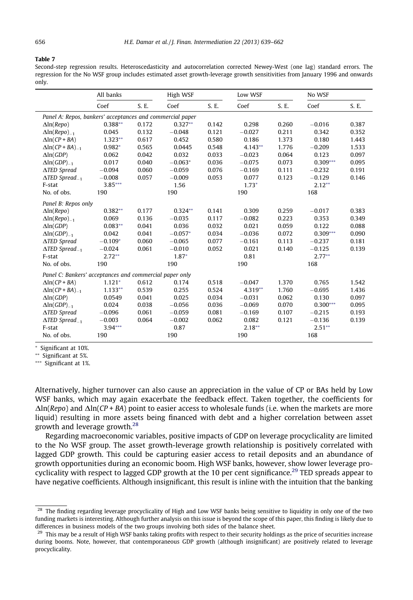<span id="page-17-0"></span>Second-step regression results. Heteroscedasticity and autocorrelation corrected Newey-West (one lag) standard errors. The regression for the No WSF group includes estimated asset growth-leverage growth sensitivities from January 1996 and onwards only.

|                                                           | All banks |       | High WSF  |       | Low WSF  |       | No WSF     |       |
|-----------------------------------------------------------|-----------|-------|-----------|-------|----------|-------|------------|-------|
|                                                           | Coef      | S. E. | Coef      | S. E. | Coef     | S. E. | Coef       | S. E. |
| Panel A: Repos, bankers' acceptances and commercial paper |           |       |           |       |          |       |            |       |
| $\Delta$ ln(Repo)                                         | $0.388**$ | 0.172 | $0.327**$ | 0.142 | 0.298    | 0.260 | $-0.016$   | 0.387 |
| $\Delta$ ln(Repo) <sub>-1</sub>                           | 0.045     | 0.132 | $-0.048$  | 0.121 | $-0.027$ | 0.211 | 0.342      | 0.352 |
| $\Delta$ ln(CP + BA)                                      | $1.323**$ | 0.617 | 0.452     | 0.580 | 0.186    | 1.373 | 0.180      | 1.443 |
| $\Delta$ ln(CP + BA) <sub>-1</sub>                        | $0.982*$  | 0.565 | 0.0445    | 0.548 | 4.143**  | 1.776 | $-0.209$   | 1.533 |
| $\Delta$ ln(GDP)                                          | 0.062     | 0.042 | 0.032     | 0.033 | $-0.023$ | 0.064 | 0.123      | 0.097 |
| $\Delta$ ln(GDP) <sub>-1</sub>                            | 0.017     | 0.040 | $-0.063*$ | 0.036 | $-0.075$ | 0.073 | $0.309***$ | 0.095 |
| $\triangle$ TED Spread                                    | $-0.094$  | 0.060 | $-0.059$  | 0.076 | $-0.169$ | 0.111 | $-0.232$   | 0.191 |
| $\triangle$ TED Spread <sub>-1</sub>                      | $-0.008$  | 0.057 | $-0.009$  | 0.053 | 0.077    | 0.123 | $-0.129$   | 0.146 |
| F-stat                                                    | $3.85***$ |       | 1.56      |       | $1.73*$  |       | $2.12**$   |       |
| No. of obs.                                               | 190       |       | 190       |       | 190      |       | 168        |       |
| Panel B: Repos only                                       |           |       |           |       |          |       |            |       |
| $\Delta$ ln(Repo)                                         | $0.382**$ | 0.177 | $0.324**$ | 0.141 | 0.309    | 0.259 | $-0.017$   | 0.383 |
| $\Delta$ ln(Repo) <sub>-1</sub>                           | 0.069     | 0.136 | $-0.035$  | 0.117 | $-0.082$ | 0.223 | 0.353      | 0.349 |
| $\Delta$ ln(GDP)                                          | $0.083**$ | 0.041 | 0.036     | 0.032 | 0.021    | 0.059 | 0.122      | 0.088 |
| $\Delta$ ln(GDP) <sub>-1</sub>                            | 0.042     | 0.041 | $-0.057*$ | 0.034 | $-0.036$ | 0.072 | $0.309***$ | 0.090 |
| $\triangle$ TED Spread                                    | $-0.109*$ | 0.060 | $-0.065$  | 0.077 | $-0.161$ | 0.113 | $-0.237$   | 0.181 |
| $\triangle$ TED Spread <sub>-1</sub>                      | $-0.024$  | 0.061 | $-0.010$  | 0.052 | 0.021    | 0.140 | $-0.125$   | 0.139 |
| F-stat                                                    | $2.72**$  |       | $1.87*$   |       | 0.81     |       | $2.77**$   |       |
| No. of obs.                                               | 190       |       | 190       |       | 190      |       | 168        |       |
| Panel C: Bankers' acceptances and commercial paper only   |           |       |           |       |          |       |            |       |
| $\Delta$ ln(CP + BA)                                      | $1.121*$  | 0.612 | 0.174     | 0.518 | $-0.047$ | 1.370 | 0.765      | 1.542 |
| $\Delta$ ln(CP + BA) <sub>-1</sub>                        | $1.133**$ | 0.539 | 0.255     | 0.524 | 4.319**  | 1.760 | $-0.695$   | 1.436 |
| $\Delta$ ln(GDP)                                          | 0.0549    | 0.041 | 0.025     | 0.034 | $-0.031$ | 0.062 | 0.130      | 0.097 |
| $\Delta$ ln(GDP) <sub>-1</sub>                            | 0.024     | 0.038 | $-0.056$  | 0.036 | $-0.069$ | 0.070 | $0.300***$ | 0.095 |
| $\triangle$ TED Spread                                    | $-0.096$  | 0.061 | $-0.059$  | 0.081 | $-0.169$ | 0.107 | $-0.215$   | 0.193 |
| $\triangle$ TED Spread <sub>-1</sub>                      | $-0.003$  | 0.064 | $-0.002$  | 0.062 | 0.082    | 0.121 | $-0.136$   | 0.139 |
| F-stat                                                    | $3.94***$ |       | 0.87      |       | $2.18**$ |       | $2.51**$   |       |
| No. of obs.                                               | 190       |       | 190       |       | 190      |       | 168        |       |

<sup>⁄</sup> Significant at 10%.

⁄⁄ Significant at 5%.

⁄⁄⁄ Significant at 1%.

Alternatively, higher turnover can also cause an appreciation in the value of CP or BAs held by Low WSF banks, which may again exacerbate the feedback effect. Taken together, the coefficients for  $\Delta$ ln(Repo) and  $\Delta$ ln(CP + BA) point to easier access to wholesale funds (i.e. when the markets are more liquid) resulting in more assets being financed with debt and a higher correlation between asset growth and leverage growth.28

Regarding macroeconomic variables, positive impacts of GDP on leverage procyclicality are limited to the No WSF group. The asset growth-leverage growth relationship is positively correlated with lagged GDP growth. This could be capturing easier access to retail deposits and an abundance of growth opportunities during an economic boom. High WSF banks, however, show lower leverage procyclicality with respect to lagged GDP growth at the 10 per cent significance.<sup>29</sup> TED spreads appear to have negative coefficients. Although insignificant, this result is inline with the intuition that the banking

<sup>&</sup>lt;sup>28</sup> The finding regarding leverage procyclicality of High and Low WSF banks being sensitive to liquidity in only one of the two funding markets is interesting. Although further analysis on this issue is beyond the scope of this paper, this finding is likely due to differences in business models of the two groups involving both sides of the balance sheet.

 $^{29}$  This may be a result of High WSF banks taking profits with respect to their security holdings as the price of securities increase during booms. Note, however, that contemporaneous GDP growth (although insignificant) are positively related to leverage procyclicality.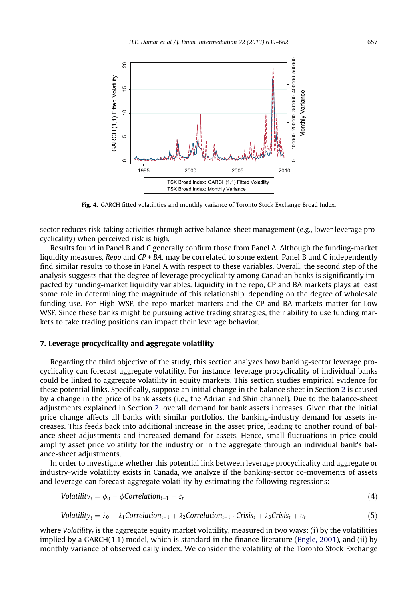<span id="page-18-0"></span>

Fig. 4. GARCH fitted volatilities and monthly variance of Toronto Stock Exchange Broad Index.

sector reduces risk-taking activities through active balance-sheet management (e.g., lower leverage procyclicality) when perceived risk is high.

Results found in Panel B and C generally confirm those from Panel A. Although the funding-market liquidity measures, Repo and  $\mathbb{CP}$  + BA, may be correlated to some extent, Panel B and C independently find similar results to those in Panel A with respect to these variables. Overall, the second step of the analysis suggests that the degree of leverage procyclicality among Canadian banks is significantly impacted by funding-market liquidity variables. Liquidity in the repo, CP and BA markets plays at least some role in determining the magnitude of this relationship, depending on the degree of wholesale funding use. For High WSF, the repo market matters and the CP and BA markets matter for Low WSF. Since these banks might be pursuing active trading strategies, their ability to use funding markets to take trading positions can impact their leverage behavior.

#### 7. Leverage procyclicality and aggregate volatility

Regarding the third objective of the study, this section analyzes how banking-sector leverage procyclicality can forecast aggregate volatility. For instance, leverage procyclicality of individual banks could be linked to aggregate volatility in equity markets. This section studies empirical evidence for these potential links. Specifically, suppose an initial change in the balance sheet in Section [2](#page-2-0) is caused by a change in the price of bank assets (i.e., the Adrian and Shin channel). Due to the balance-sheet adjustments explained in Section [2](#page-2-0), overall demand for bank assets increases. Given that the initial price change affects all banks with similar portfolios, the banking-industry demand for assets increases. This feeds back into additional increase in the asset price, leading to another round of balance-sheet adjustments and increased demand for assets. Hence, small fluctuations in price could amplify asset price volatility for the industry or in the aggregate through an individual bank's balance-sheet adjustments.

In order to investigate whether this potential link between leverage procyclicality and aggregate or industry-wide volatility exists in Canada, we analyze if the banking-sector co-movements of assets and leverage can forecast aggregate volatility by estimating the following regressions:

$$
Volatility_t = \phi_0 + \phi Correlation_{t-1} + \xi_t \tag{4}
$$

$$
Volatility_t = \lambda_0 + \lambda_1 Correlation_{t-1} + \lambda_2 Correlation_{t-1} \cdot Crisis_t + \lambda_3 Crisis_t + v_t
$$
\n(5)

where *Volatility<sub>t</sub>* is the aggregate equity market volatility, measured in two ways: (i) by the volatilities implied by a GARCH(1,1) model, which is standard in the finance literature [\(Engle, 2001](#page-23-0)), and (ii) by monthly variance of observed daily index. We consider the volatility of the Toronto Stock Exchange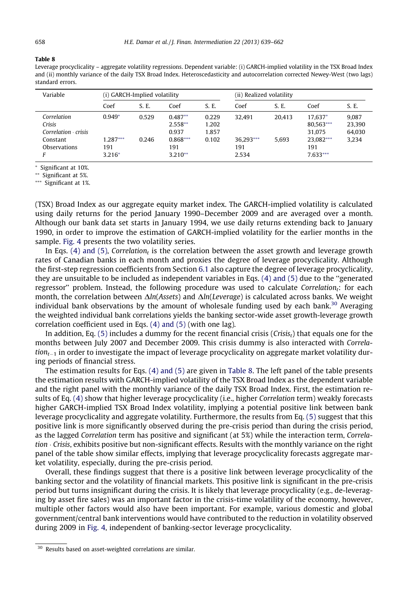#### Leverage procyclicality – aggregate volatility regressions. Dependent variable: (i) GARCH-implied volatility in the TSX Broad Index and (ii) monthly variance of the daily TSX Broad Index. Heteroscedasticity and autocorrelation corrected Newey-West (two lags) standard errors.

| Variable                                            |                               | (i) GARCH-Implied volatility |                                 |                         | (ii) Realized volatility  |        |                                |                           |  |
|-----------------------------------------------------|-------------------------------|------------------------------|---------------------------------|-------------------------|---------------------------|--------|--------------------------------|---------------------------|--|
|                                                     | Coef                          | S. E.                        | Coef                            | S. E.                   | Coef                      | S. E.  | Coef                           | S. E.                     |  |
| Correlation<br>Crisis<br>$Correlation \cdot crisis$ | $0.949*$                      | 0.529                        | $0.487**$<br>$2.558**$<br>0.937 | 0.229<br>1.202<br>1.857 | 32.491                    | 20.413 | 17.637*<br>80.563***<br>31.075 | 9.087<br>23.390<br>64.030 |  |
| Constant<br>Observations                            | $1.287***$<br>191<br>$3.216*$ | 0.246                        | $0.868***$<br>191<br>$3.210**$  | 0.102                   | 36.293***<br>191<br>2.534 | 5.693  | 23.082***<br>191<br>$7.633***$ | 3.234                     |  |

<sup>⁄</sup> Significant at 10%.

⁄⁄ Significant at 5%.

⁄⁄⁄ Significant at 1%.

(TSX) Broad Index as our aggregate equity market index. The GARCH-implied volatility is calculated using daily returns for the period January 1990–December 2009 and are averaged over a month. Although our bank data set starts in January 1994, we use daily returns extending back to January 1990, in order to improve the estimation of GARCH-implied volatility for the earlier months in the sample. [Fig. 4](#page-18-0) presents the two volatility series.

In Eqs. [\(4\) and \(5\),](#page-18-0) Correlation<sub>t</sub> is the correlation between the asset growth and leverage growth rates of Canadian banks in each month and proxies the degree of leverage procyclicality. Although the first-step regression coefficients from Section [6.1](#page-12-0) also capture the degree of leverage procyclicality, they are unsuitable to be included as independent variables in Eqs. [\(4\) and \(5\)](#page-18-0) due to the ''generated regressor" problem. Instead, the following procedure was used to calculate Correlation<sub>i</sub>: for each month, the correlation between  $\Delta ln(A \text{ssets})$  and  $\Delta ln(Leverage)$  is calculated across banks. We weight individual bank observations by the amount of wholesale funding used by each bank.<sup>30</sup> Averaging the weighted individual bank correlations yields the banking sector-wide asset growth-leverage growth correlation coefficient used in Eqs. [\(4\) and \(5\)](#page-18-0) (with one lag).

In addition, Eq. [\(5\)](#page-18-0) includes a dummy for the recent financial crisis (Crisis<sub>t</sub>) that equals one for the months between July 2007 and December 2009. This crisis dummy is also interacted with Correla- $\iota$ in order to investigate the impact of leverage procyclicality on aggregate market volatility during periods of financial stress.

The estimation results for Eqs. [\(4\) and \(5\)](#page-18-0) are given in Table 8. The left panel of the table presents the estimation results with GARCH-implied volatility of the TSX Broad Index as the dependent variable and the right panel with the monthly variance of the daily TSX Broad Index. First, the estimation re-sults of Eq. [\(4\)](#page-18-0) show that higher leverage procyclicality (i.e., higher Correlation term) weakly forecasts higher GARCH-implied TSX Broad Index volatility, implying a potential positive link between bank leverage procyclicality and aggregate volatility. Furthermore, the results from Eq. [\(5\)](#page-18-0) suggest that this positive link is more significantly observed during the pre-crisis period than during the crisis period, as the lagged Correlation term has positive and significant (at 5%) while the interaction term, Correlation Crisis, exhibits positive but non-significant effects. Results with the monthly variance on the right panel of the table show similar effects, implying that leverage procyclicality forecasts aggregate market volatility, especially, during the pre-crisis period.

Overall, these findings suggest that there is a positive link between leverage procyclicality of the banking sector and the volatility of financial markets. This positive link is significant in the pre-crisis period but turns insignificant during the crisis. It is likely that leverage procyclicality (e.g., de-leveraging by asset fire sales) was an important factor in the crisis-time volatility of the economy, however, multiple other factors would also have been important. For example, various domestic and global government/central bank interventions would have contributed to the reduction in volatility observed during 2009 in [Fig. 4](#page-18-0), independent of banking-sector leverage procyclicality.

<sup>&</sup>lt;sup>30</sup> Results based on asset-weighted correlations are similar.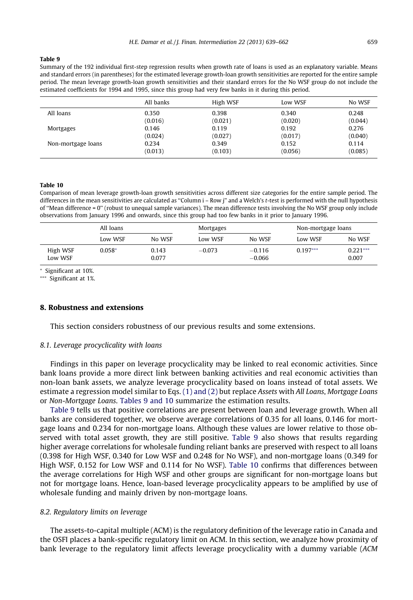<span id="page-20-0"></span>Summary of the 192 individual first-step regression results when growth rate of loans is used as an explanatory variable. Means and standard errors (in parentheses) for the estimated leverage growth-loan growth sensitivities are reported for the entire sample period. The mean leverage growth-loan growth sensitivities and their standard errors for the No WSF group do not include the estimated coefficients for 1994 and 1995, since this group had very few banks in it during this period.

|                    | All banks | High WSF | Low WSF | No WSF  |
|--------------------|-----------|----------|---------|---------|
| All loans          | 0.350     | 0.398    | 0.340   | 0.248   |
|                    | (0.016)   | (0.021)  | (0.020) | (0.044) |
| Mortgages          | 0.146     | 0.119    | 0.192   | 0.276   |
|                    | (0.024)   | (0.027)  | (0.017) | (0.040) |
| Non-mortgage loans | 0.234     | 0.349    | 0.152   | 0.114   |
|                    | (0.013)   | (0.103)  | (0.056) | (0.085) |

#### Table 10

Comparison of mean leverage growth-loan growth sensitivities across different size categories for the entire sample period. The differences in the mean sensitivities are calculated as ''Column i – Row j'' and a Welch's t-test is performed with the null hypothesis of ''Mean difference = 0'' (robust to unequal sample variances). The mean difference tests involving the No WSF group only include observations from January 1996 and onwards, since this group had too few banks in it prior to January 1996.

|                     | All loans |                | Mortgages |                      | Non-mortgage loans |                     |
|---------------------|-----------|----------------|-----------|----------------------|--------------------|---------------------|
|                     | Low WSF   | No WSF         | Low WSF   | No WSF               | Low WSF            | No WSF              |
| High WSF<br>Low WSF | $0.058*$  | 0.143<br>0.077 | $-0.073$  | $-0.116$<br>$-0.066$ | $0.197***$         | $0.221***$<br>0.007 |

<sup>⁄</sup> Significant at 10%.

⁄⁄⁄ Significant at 1%.

## 8. Robustness and extensions

This section considers robustness of our previous results and some extensions.

#### 8.1. Leverage procyclicality with loans

Findings in this paper on leverage procyclicality may be linked to real economic activities. Since bank loans provide a more direct link between banking activities and real economic activities than non-loan bank assets, we analyze leverage procyclicality based on loans instead of total assets. We estimate a regression model similar to Eqs. [\(1\) and \(2\)](#page-9-0) but replace Assets with All Loans, Mortgage Loans or Non-Mortgage Loans. Tables 9 and 10 summarize the estimation results.

Table 9 tells us that positive correlations are present between loan and leverage growth. When all banks are considered together, we observe average correlations of 0.35 for all loans, 0.146 for mortgage loans and 0.234 for non-mortgage loans. Although these values are lower relative to those observed with total asset growth, they are still positive. Table 9 also shows that results regarding higher average correlations for wholesale funding reliant banks are preserved with respect to all loans (0.398 for High WSF, 0.340 for Low WSF and 0.248 for No WSF), and non-mortgage loans (0.349 for High WSF, 0.152 for Low WSF and 0.114 for No WSF). Table 10 confirms that differences between the average correlations for High WSF and other groups are significant for non-mortgage loans but not for mortgage loans. Hence, loan-based leverage procyclicality appears to be amplified by use of wholesale funding and mainly driven by non-mortgage loans.

## 8.2. Regulatory limits on leverage

The assets-to-capital multiple (ACM) is the regulatory definition of the leverage ratio in Canada and the OSFI places a bank-specific regulatory limit on ACM. In this section, we analyze how proximity of bank leverage to the regulatory limit affects leverage procyclicality with a dummy variable (ACM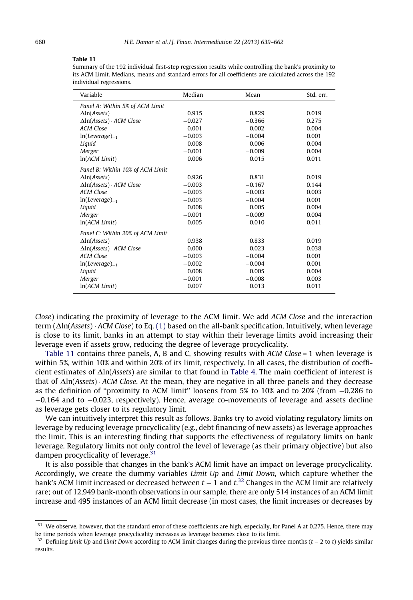Summary of the 192 individual first-step regression results while controlling the bank's proximity to its ACM Limit. Medians, means and standard errors for all coefficients are calculated across the 192 individual regressions.

| Variable                         | Median   | Mean     | Std. err. |
|----------------------------------|----------|----------|-----------|
| Panel A: Within 5% of ACM Limit  |          |          |           |
| $\Delta$ ln(Assets)              | 0.915    | 0.829    | 0.019     |
| $\Delta$ ln(Assets) $ACM$ Close  | $-0.027$ | $-0.366$ | 0.275     |
| ACM Close                        | 0.001    | $-0.002$ | 0.004     |
| $ln(Leverage)_{-1}$              | $-0.003$ | $-0.004$ | 0.001     |
| Liquid                           | 0.008    | 0.006    | 0.004     |
| Merger                           | $-0.001$ | $-0.009$ | 0.004     |
| In(ACM Limit)                    | 0.006    | 0.015    | 0.011     |
| Panel B: Within 10% of ACM Limit |          |          |           |
| $\Delta$ ln(Assets)              | 0.926    | 0.831    | 0.019     |
| $\Delta$ ln(Assets) $ACM$ Close  | $-0.003$ | $-0.167$ | 0.144     |
| <b>ACM Close</b>                 | $-0.003$ | $-0.003$ | 0.003     |
| $ln(Leverage)_{-1}$              | $-0.003$ | $-0.004$ | 0.001     |
| Liquid                           | 0.008    | 0.005    | 0.004     |
| Merger                           | $-0.001$ | $-0.009$ | 0.004     |
| In(ACM Limit)                    | 0.005    | 0.010    | 0.011     |
| Panel C: Within 20% of ACM Limit |          |          |           |
| $\Delta$ ln(Assets)              | 0.938    | 0.833    | 0.019     |
| $\Delta$ ln(Assets) $ACM$ Close  | 0.000    | $-0.023$ | 0.038     |
| <b>ACM Close</b>                 | $-0.003$ | $-0.004$ | 0.001     |
| $ln(Leverage)_{-1}$              | $-0.002$ | $-0.004$ | 0.001     |
| Liquid                           | 0.008    | 0.005    | 0.004     |
| Merger                           | $-0.001$ | $-0.008$ | 0.003     |
| $ln(ACM$ Limit)                  | 0.007    | 0.013    | 0.011     |
|                                  |          |          |           |

Close) indicating the proximity of leverage to the ACM limit. We add ACM Close and the interaction term  $(\Delta \ln(A \cdot \text{Ssets}) \cdot \text{ACM}$  Close) to Eq. [\(1\)](#page-9-0) based on the all-bank specification. Intuitively, when leverage is close to its limit, banks in an attempt to stay within their leverage limits avoid increasing their leverage even if assets grow, reducing the degree of leverage procyclicality.

Table 11 contains three panels, A, B and C, showing results with ACM Close = 1 when leverage is within 5%, within 10% and within 20% of its limit, respectively. In all cases, the distribution of coefficient estimates of  $\Delta$ ln(Assets) are similar to that found in [Table 4](#page-14-0). The main coefficient of interest is that of  $\Delta$ ln(Assets)  $\cdot$  ACM Close. At the mean, they are negative in all three panels and they decrease as the definition of ''proximity to ACM limit'' loosens from 5% to 10% and to 20% (from -0.286 to -0.164 and to -0.023, respectively). Hence, average co-movements of leverage and assets decline as leverage gets closer to its regulatory limit.

We can intuitively interpret this result as follows. Banks try to avoid violating regulatory limits on leverage by reducing leverage procyclicality (e.g., debt financing of new assets) as leverage approaches the limit. This is an interesting finding that supports the effectiveness of regulatory limits on bank leverage. Regulatory limits not only control the level of leverage (as their primary objective) but also dampen procyclicality of leverage. $31$ 

It is also possible that changes in the bank's ACM limit have an impact on leverage procyclicality. Accordingly, we create the dummy variables Limit Up and Limit Down, which capture whether the bank's ACM limit increased or decreased between  $t-1$  and  $t.^{32}$  Changes in the ACM limit are relatively rare; out of 12,949 bank-month observations in our sample, there are only 514 instances of an ACM limit increase and 495 instances of an ACM limit decrease (in most cases, the limit increases or decreases by

<sup>&</sup>lt;sup>31</sup> We observe, however, that the standard error of these coefficients are high, especially, for Panel A at 0.275. Hence, there may be time periods when leverage procyclicality increases as leverage becomes close to its limit.

<sup>&</sup>lt;sup>32</sup> Defining Limit Up and Limit Down according to ACM limit changes during the previous three months  $(t - 2$  to t) yields similar results.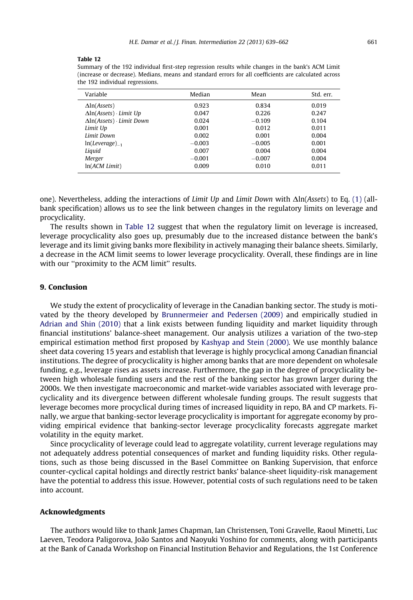<span id="page-22-0"></span>Summary of the 192 individual first-step regression results while changes in the bank's ACM Limit (increase or decrease). Medians, means and standard errors for all coefficients are calculated across the 192 individual regressions.

| Variable                               | Median   | Mean     | Std. err. |
|----------------------------------------|----------|----------|-----------|
| $\Delta$ ln(Assets)                    | 0.923    | 0.834    | 0.019     |
| $\Delta$ ln(Assets) $\cdot$ Limit Up   | 0.047    | 0.226    | 0.247     |
| $\Delta$ ln(Assets) $\cdot$ Limit Down | 0.024    | $-0.109$ | 0.104     |
| Limit Up                               | 0.001    | 0.012    | 0.011     |
| Limit Down                             | 0.002    | 0.001    | 0.004     |
| $ln(Leverage)_{-1}$                    | $-0.003$ | $-0.005$ | 0.001     |
| Liquid                                 | 0.007    | 0.004    | 0.004     |
| Merger                                 | $-0.001$ | $-0.007$ | 0.004     |
| ln(ACM Limit)                          | 0.009    | 0.010    | 0.011     |

one). Nevertheless, adding the interactions of Limit Up and Limit Down with  $\Delta \ln(Asset)$  to Eq. [\(1\)](#page-9-0) (allbank specification) allows us to see the link between changes in the regulatory limits on leverage and procyclicality.

The results shown in Table 12 suggest that when the regulatory limit on leverage is increased, leverage procyclicality also goes up, presumably due to the increased distance between the bank's leverage and its limit giving banks more flexibility in actively managing their balance sheets. Similarly, a decrease in the ACM limit seems to lower leverage procyclicality. Overall, these findings are in line with our "proximity to the ACM limit" results.

## 9. Conclusion

We study the extent of procyclicality of leverage in the Canadian banking sector. The study is motivated by the theory developed by [Brunnermeier and Pedersen \(2009\)](#page-23-0) and empirically studied in [Adrian and Shin \(2010\)](#page-23-0) that a link exists between funding liquidity and market liquidity through financial institutions' balance-sheet management. Our analysis utilizes a variation of the two-step empirical estimation method first proposed by [Kashyap and Stein \(2000\)](#page-23-0). We use monthly balance sheet data covering 15 years and establish that leverage is highly procyclical among Canadian financial institutions. The degree of procyclicality is higher among banks that are more dependent on wholesale funding, e.g., leverage rises as assets increase. Furthermore, the gap in the degree of procyclicality between high wholesale funding users and the rest of the banking sector has grown larger during the 2000s. We then investigate macroeconomic and market-wide variables associated with leverage procyclicality and its divergence between different wholesale funding groups. The result suggests that leverage becomes more procyclical during times of increased liquidity in repo, BA and CP markets. Finally, we argue that banking-sector leverage procyclicality is important for aggregate economy by providing empirical evidence that banking-sector leverage procyclicality forecasts aggregate market volatility in the equity market.

Since procyclicality of leverage could lead to aggregate volatility, current leverage regulations may not adequately address potential consequences of market and funding liquidity risks. Other regulations, such as those being discussed in the Basel Committee on Banking Supervision, that enforce counter-cyclical capital holdings and directly restrict banks' balance-sheet liquidity-risk management have the potential to address this issue. However, potential costs of such regulations need to be taken into account.

## Acknowledgments

The authors would like to thank James Chapman, Ian Christensen, Toni Gravelle, Raoul Minetti, Luc Laeven, Teodora Paligorova, João Santos and Naoyuki Yoshino for comments, along with participants at the Bank of Canada Workshop on Financial Institution Behavior and Regulations, the 1st Conference